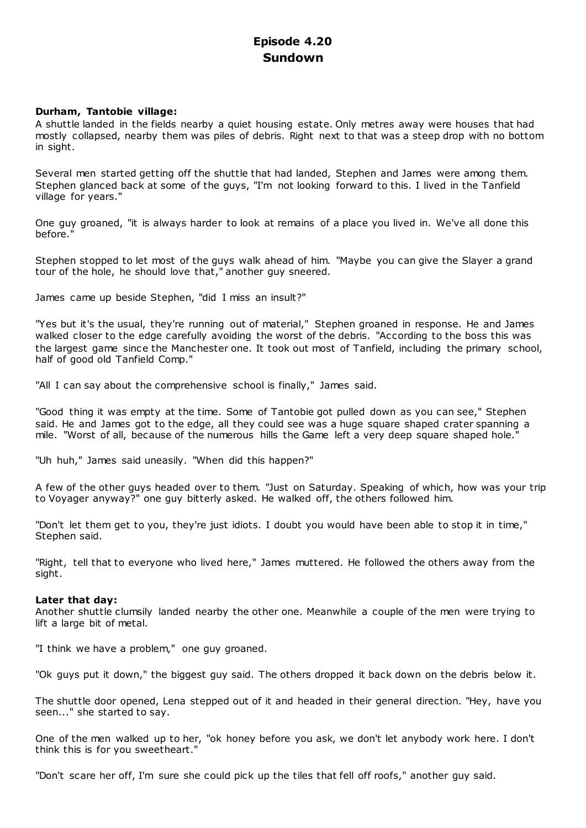# **Episode 4.20 Sundown**

# **Durham, Tantobie village:**

A shuttle landed in the fields nearby a quiet housing estate. Only metres away were houses that had mostly collapsed, nearby them was piles of debris. Right next to that was a steep drop with no bottom in sight.

Several men started getting off the shuttle that had landed, Stephen and James were among them. Stephen glanced back at some of the guys, "I'm not looking forward to this. I lived in the Tanfield village for years."

One guy groaned, "it is always harder to look at remains of a place you lived in. We've all done this before."

Stephen stopped to let most of the guys walk ahead of him. "Maybe you can give the Slayer a grand tour of the hole, he should love that," another guy sneered.

James came up beside Stephen, "did I miss an insult?"

"Yes but it's the usual, they're running out of material," Stephen groaned in response. He and James walked closer to the edge carefully avoiding the worst of the debris. "According to the boss this was the largest game since the Manchester one. It took out most of Tanfield, including the primary school, half of good old Tanfield Comp."

"All I can say about the comprehensive school is finally," James said.

"Good thing it was empty at the time. Some of Tantobie got pulled down as you can see," Stephen said. He and James got to the edge, all they could see was a huge square shaped crater spanning a mile. "Worst of all, because of the numerous hills the Game left a very deep square shaped hole."

"Uh huh," James said uneasily. "When did this happen?"

A few of the other guys headed over to them. "Just on Saturday. Speaking of which, how was your trip to Voyager anyway?" one guy bitterly asked. He walked off, the others followed him.

"Don't let them get to you, they're just idiots. I doubt you would have been able to stop it in time," Stephen said.

"Right, tell that to everyone who lived here," James muttered. He followed the others away from the sight.

# **Later that day:**

Another shuttle clumsily landed nearby the other one. Meanwhile a couple of the men were trying to lift a large bit of metal.

"I think we have a problem," one guy groaned.

"Ok guys put it down," the biggest guy said. The others dropped it back down on the debris below it.

The shuttle door opened, Lena stepped out of it and headed in their general direction. "Hey, have you seen..." she started to say.

One of the men walked up to her, "ok honey before you ask, we don't let anybody work here. I don't think this is for you sweetheart."

"Don't scare her off, I'm sure she could pick up the tiles that fell off roofs," another guy said.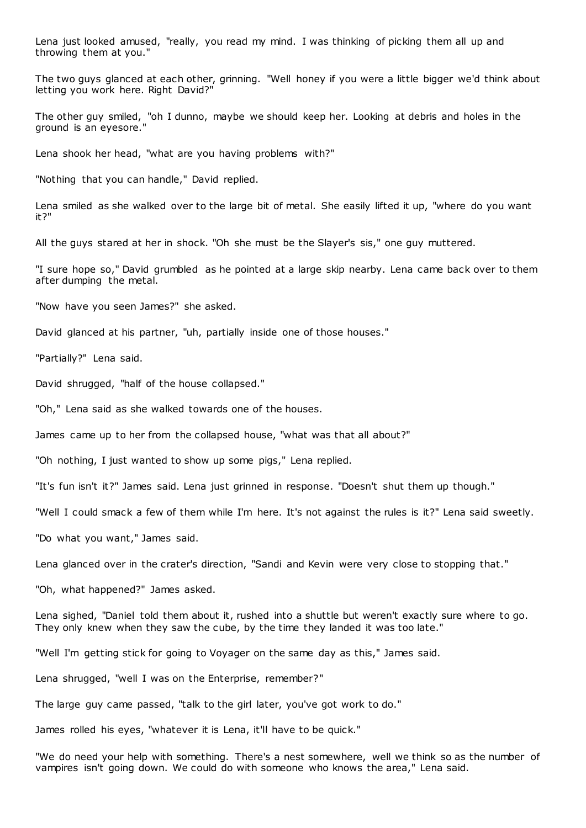Lena just looked amused, "really, you read my mind. I was thinking of picking them all up and throwing them at you."

The two guys glanced at each other, grinning. "Well honey if you were a little bigger we'd think about letting you work here. Right David?"

The other guy smiled, "oh I dunno, maybe we should keep her. Looking at debris and holes in the ground is an eyesore."

Lena shook her head, "what are you having problems with?"

"Nothing that you can handle," David replied.

Lena smiled as she walked over to the large bit of metal. She easily lifted it up, "where do you want it?"

All the guys stared at her in shock. "Oh she must be the Slayer's sis," one guy muttered.

"I sure hope so," David grumbled as he pointed at a large skip nearby. Lena came back over to them after dumping the metal.

"Now have you seen James?" she asked.

David glanced at his partner, "uh, partially inside one of those houses."

"Partially?" Lena said.

David shrugged, "half of the house collapsed."

"Oh," Lena said as she walked towards one of the houses.

James came up to her from the collapsed house, "what was that all about?"

"Oh nothing, I just wanted to show up some pigs," Lena replied.

"It's fun isn't it?" James said. Lena just grinned in response. "Doesn't shut them up though."

"Well I could smack a few of them while I'm here. It's not against the rules is it?" Lena said sweetly.

"Do what you want," James said.

Lena glanced over in the crater's direction, "Sandi and Kevin were very close to stopping that."

"Oh, what happened?" James asked.

Lena sighed, "Daniel told them about it, rushed into a shuttle but weren't exactly sure where to go. They only knew when they saw the cube, by the time they landed it was too late."

"Well I'm getting stick for going to Voyager on the same day as this," James said.

Lena shrugged, "well I was on the Enterprise, remember?"

The large guy came passed, "talk to the girl later, you've got work to do."

James rolled his eyes, "whatever it is Lena, it'll have to be quick."

"We do need your help with something. There's a nest somewhere, well we think so as the number of vampires isn't going down. We could do with someone who knows the area," Lena said.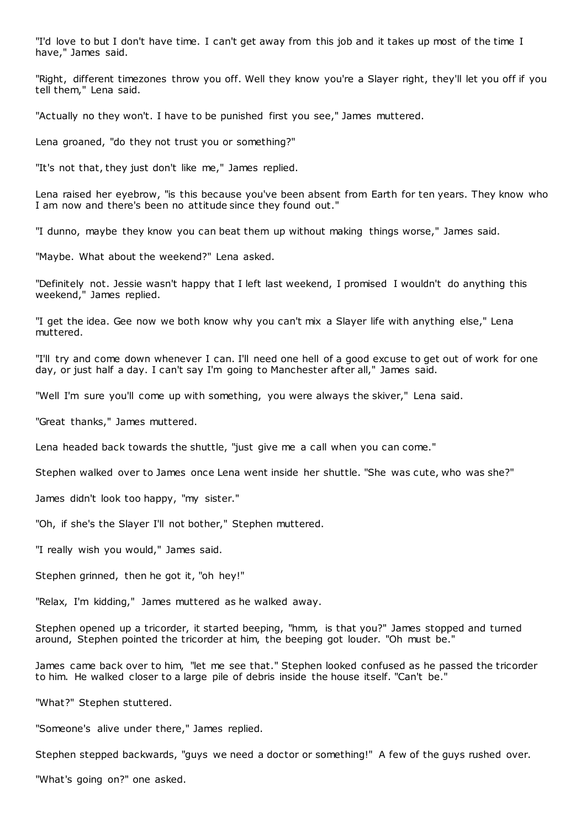"I'd love to but I don't have time. I can't get away from this job and it takes up most of the time I have," James said.

"Right, different timezones throw you off. Well they know you're a Slayer right, they'll let you off if you tell them," Lena said.

"Actually no they won't. I have to be punished first you see," James muttered.

Lena groaned, "do they not trust you or something?"

"It's not that, they just don't like me," James replied.

Lena raised her eyebrow, "is this because you've been absent from Earth for ten years. They know who I am now and there's been no attitude since they found out."

"I dunno, maybe they know you can beat them up without making things worse," James said.

"Maybe. What about the weekend?" Lena asked.

"Definitely not. Jessie wasn't happy that I left last weekend, I promised I wouldn't do anything this weekend," James replied.

"I get the idea. Gee now we both know why you can't mix a Slayer life with anything else," Lena muttered.

"I'll try and come down whenever I can. I'll need one hell of a good excuse to get out of work for one day, or just half a day. I can't say I'm going to Manchester after all," James said.

"Well I'm sure you'll come up with something, you were always the skiver," Lena said.

"Great thanks," James muttered.

Lena headed back towards the shuttle, "just give me a call when you can come."

Stephen walked over to James once Lena went inside her shuttle. "She was cute, who was she?"

James didn't look too happy, "my sister."

"Oh, if she's the Slayer I'll not bother," Stephen muttered.

"I really wish you would," James said.

Stephen grinned, then he got it, "oh hey!"

"Relax, I'm kidding," James muttered as he walked away.

Stephen opened up a tricorder, it started beeping, "hmm, is that you?" James stopped and turned around, Stephen pointed the tricorder at him, the beeping got louder. "Oh must be."

James came back over to him, "let me see that." Stephen looked confused as he passed the tricorder to him. He walked closer to a large pile of debris inside the house itself. "Can't be."

"What?" Stephen stuttered.

"Someone's alive under there," James replied.

Stephen stepped backwards, "guys we need a doctor or something!" A few of the guys rushed over.

"What's going on?" one asked.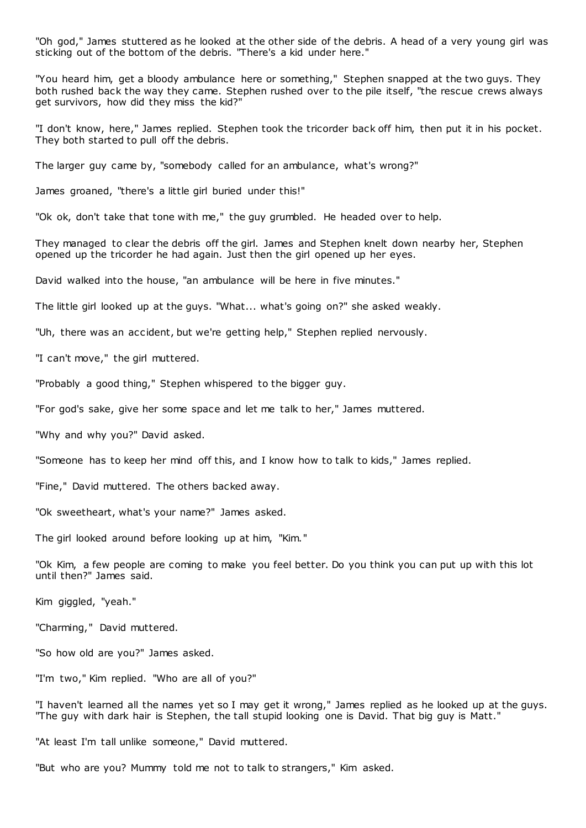"Oh god," James stuttered as he looked at the other side of the debris. A head of a very young girl was sticking out of the bottom of the debris. "There's a kid under here."

"You heard him, get a bloody ambulance here or something," Stephen snapped at the two guys. They both rushed back the way they came. Stephen rushed over to the pile itself, "the rescue crews always get survivors, how did they miss the kid?"

"I don't know, here," James replied. Stephen took the tricorder back off him, then put it in his pocket. They both started to pull off the debris.

The larger guy came by, "somebody called for an ambulance, what's wrong?"

James groaned, "there's a little girl buried under this!"

"Ok ok, don't take that tone with me," the guy grumbled. He headed over to help.

They managed to clear the debris off the girl. James and Stephen knelt down nearby her, Stephen opened up the tricorder he had again. Just then the girl opened up her eyes.

David walked into the house, "an ambulance will be here in five minutes."

The little girl looked up at the guys. "What... what's going on?" she asked weakly.

"Uh, there was an accident, but we're getting help," Stephen replied nervously.

"I can't move," the girl muttered.

"Probably a good thing," Stephen whispered to the bigger guy.

"For god's sake, give her some space and let me talk to her," James muttered.

"Why and why you?" David asked.

"Someone has to keep her mind off this, and I know how to talk to kids," James replied.

"Fine," David muttered. The others backed away.

"Ok sweetheart, what's your name?" James asked.

The girl looked around before looking up at him, "Kim."

"Ok Kim, a few people are coming to make you feel better. Do you think you can put up with this lot until then?" James said.

Kim giggled, "yeah."

"Charming," David muttered.

"So how old are you?" James asked.

"I'm two," Kim replied. "Who are all of you?"

"I haven't learned all the names yet so I may get it wrong," James replied as he looked up at the guys. "The guy with dark hair is Stephen, the tall stupid looking one is David. That big guy is Matt."

"At least I'm tall unlike someone," David muttered.

"But who are you? Mummy told me not to talk to strangers," Kim asked.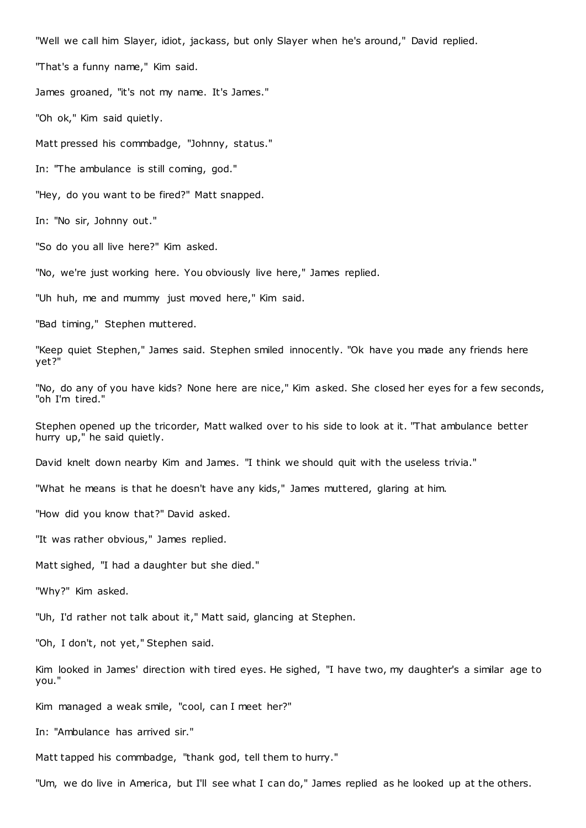"Well we call him Slayer, idiot, jackass, but only Slayer when he's around," David replied.

"That's a funny name," Kim said.

James groaned, "it's not my name. It's James."

"Oh ok," Kim said quietly.

Matt pressed his commbadge, "Johnny, status."

In: "The ambulance is still coming, god."

"Hey, do you want to be fired?" Matt snapped.

In: "No sir, Johnny out."

"So do you all live here?" Kim asked.

"No, we're just working here. You obviously live here," James replied.

"Uh huh, me and mummy just moved here," Kim said.

"Bad timing," Stephen muttered.

"Keep quiet Stephen," James said. Stephen smiled innocently. "Ok have you made any friends here yet?"

"No, do any of you have kids? None here are nice," Kim asked. She closed her eyes for a few seconds, "oh I'm tired."

Stephen opened up the tricorder, Matt walked over to his side to look at it. "That ambulance better hurry up," he said quietly.

David knelt down nearby Kim and James. "I think we should quit with the useless trivia."

"What he means is that he doesn't have any kids," James muttered, glaring at him.

"How did you know that?" David asked.

"It was rather obvious," James replied.

Matt sighed, "I had a daughter but she died."

"Why?" Kim asked.

"Uh, I'd rather not talk about it," Matt said, glancing at Stephen.

"Oh, I don't, not yet," Stephen said.

Kim looked in James' direction with tired eyes. He sighed, "I have two, my daughter's a similar age to you."

Kim managed a weak smile, "cool, can I meet her?"

In: "Ambulance has arrived sir."

Matt tapped his commbadge, "thank god, tell them to hurry."

"Um, we do live in America, but I'll see what I can do," James replied as he looked up at the others.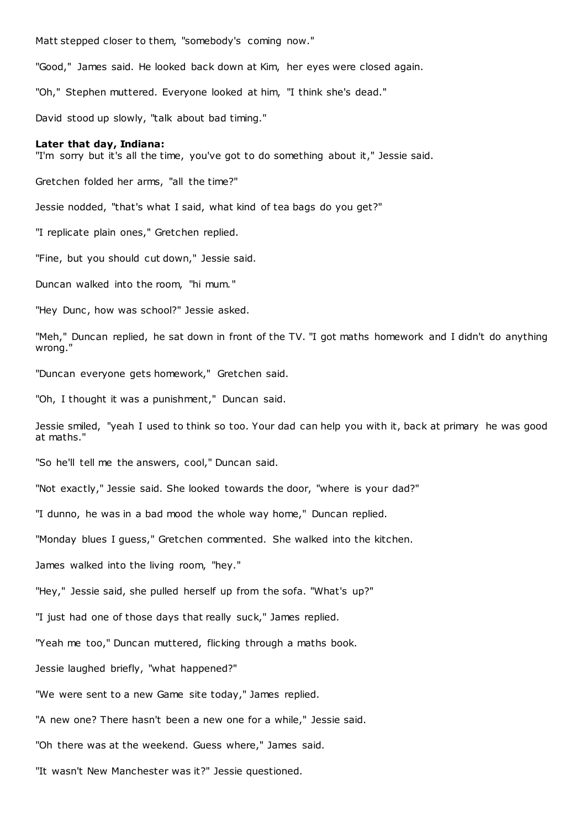Matt stepped closer to them, "somebody's coming now."

"Good," James said. He looked back down at Kim, her eyes were closed again.

"Oh," Stephen muttered. Everyone looked at him, "I think she's dead."

David stood up slowly, "talk about bad timing."

## **Later that day, Indiana:**

"I'm sorry but it's all the time, you've got to do something about it," Jessie said.

Gretchen folded her arms, "all the time?"

Jessie nodded, "that's what I said, what kind of tea bags do you get?"

"I replicate plain ones," Gretchen replied.

"Fine, but you should cut down," Jessie said.

Duncan walked into the room, "hi mum."

"Hey Dunc, how was school?" Jessie asked.

"Meh," Duncan replied, he sat down in front of the TV. "I got maths homework and I didn't do anything wrong."

"Duncan everyone gets homework," Gretchen said.

"Oh, I thought it was a punishment," Duncan said.

Jessie smiled, "yeah I used to think so too. Your dad can help you with it, back at primary he was good at maths."

"So he'll tell me the answers, cool," Duncan said.

"Not exactly," Jessie said. She looked towards the door, "where is your dad?"

"I dunno, he was in a bad mood the whole way home," Duncan replied.

"Monday blues I guess," Gretchen commented. She walked into the kitchen.

James walked into the living room, "hey."

"Hey," Jessie said, she pulled herself up from the sofa. "What's up?"

"I just had one of those days that really suck," James replied.

"Yeah me too," Duncan muttered, flicking through a maths book.

Jessie laughed briefly, "what happened?"

"We were sent to a new Game site today," James replied.

"A new one? There hasn't been a new one for a while," Jessie said.

"Oh there was at the weekend. Guess where," James said.

"It wasn't New Manchester was it?" Jessie questioned.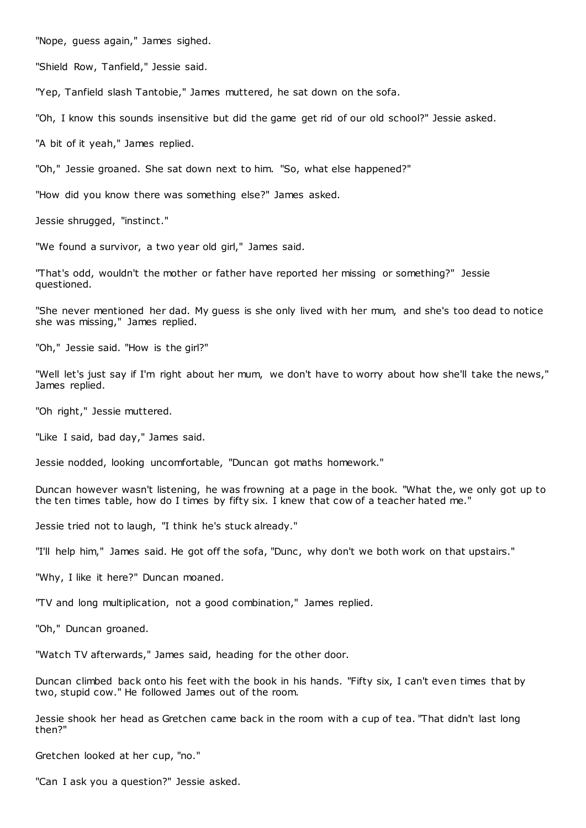"Nope, guess again," James sighed.

"Shield Row, Tanfield," Jessie said.

"Yep, Tanfield slash Tantobie," James muttered, he sat down on the sofa.

"Oh, I know this sounds insensitive but did the game get rid of our old school?" Jessie asked.

"A bit of it yeah," James replied.

"Oh," Jessie groaned. She sat down next to him. "So, what else happened?"

"How did you know there was something else?" James asked.

Jessie shrugged, "instinct."

"We found a survivor, a two year old girl," James said.

"That's odd, wouldn't the mother or father have reported her missing or something?" Jessie questioned.

"She never mentioned her dad. My guess is she only lived with her mum, and she's too dead to notice she was missing," James replied.

"Oh," Jessie said. "How is the girl?"

"Well let's just say if I'm right about her mum, we don't have to worry about how she'll take the news," James replied.

"Oh right," Jessie muttered.

"Like I said, bad day," James said.

Jessie nodded, looking uncomfortable, "Duncan got maths homework."

Duncan however wasn't listening, he was frowning at a page in the book. "What the, we only got up to the ten times table, how do I times by fifty six. I knew that cow of a teacher hated me."

Jessie tried not to laugh, "I think he's stuck already."

"I'll help him," James said. He got off the sofa, "Dunc, why don't we both work on that upstairs."

"Why, I like it here?" Duncan moaned.

"TV and long multiplication, not a good combination," James replied.

"Oh," Duncan groaned.

"Watch TV afterwards," James said, heading for the other door.

Duncan climbed back onto his feet with the book in his hands. "Fifty six, I can't even times that by two, stupid cow." He followed James out of the room.

Jessie shook her head as Gretchen came back in the room with a cup of tea. "That didn't last long then?"

Gretchen looked at her cup, "no."

"Can I ask you a question?" Jessie asked.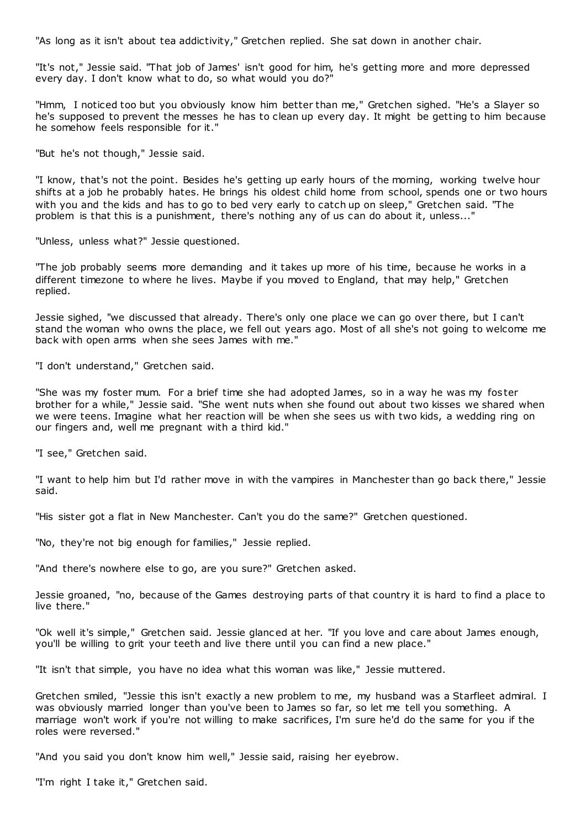"As long as it isn't about tea addictivity," Gretchen replied. She sat down in another chair.

"It's not," Jessie said. "That job of James' isn't good for him, he's getting more and more depressed every day. I don't know what to do, so what would you do?"

"Hmm, I noticed too but you obviously know him better than me," Gretchen sighed. "He's a Slayer so he's supposed to prevent the messes he has to clean up every day. It might be getting to him because he somehow feels responsible for it."

"But he's not though," Jessie said.

"I know, that's not the point. Besides he's getting up early hours of the morning, working twelve hour shifts at a job he probably hates. He brings his oldest child home from school, spends one or two hours with you and the kids and has to go to bed very early to catch up on sleep," Gretchen said. "The problem is that this is a punishment, there's nothing any of us can do about it, unless..."

"Unless, unless what?" Jessie questioned.

"The job probably seems more demanding and it takes up more of his time, because he works in a different timezone to where he lives. Maybe if you moved to England, that may help," Gretchen replied.

Jessie sighed, "we discussed that already. There's only one place we can go over there, but I can't stand the woman who owns the place, we fell out years ago. Most of all she's not going to welcome me back with open arms when she sees James with me."

"I don't understand," Gretchen said.

"She was my foster mum. For a brief time she had adopted James, so in a way he was my fos ter brother for a while," Jessie said. "She went nuts when she found out about two kisses we shared when we were teens. Imagine what her reaction will be when she sees us with two kids, a wedding ring on our fingers and, well me pregnant with a third kid."

"I see," Gretchen said.

"I want to help him but I'd rather move in with the vampires in Manchester than go back there," Jessie said.

"His sister got a flat in New Manchester. Can't you do the same?" Gretchen questioned.

"No, they're not big enough for families," Jessie replied.

"And there's nowhere else to go, are you sure?" Gretchen asked.

Jessie groaned, "no, because of the Games destroying parts of that country it is hard to find a place to live there."

"Ok well it's simple," Gretchen said. Jessie glanc ed at her. "If you love and care about James enough, you'll be willing to grit your teeth and live there until you can find a new place."

"It isn't that simple, you have no idea what this woman was like," Jessie muttered.

Gretchen smiled, "Jessie this isn't exactly a new problem to me, my husband was a Starfleet admiral. I was obviously married longer than you've been to James so far, so let me tell you something. A marriage won't work if you're not willing to make sacrifices, I'm sure he'd do the same for you if the roles were reversed."

"And you said you don't know him well," Jessie said, raising her eyebrow.

"I'm right I take it," Gretchen said.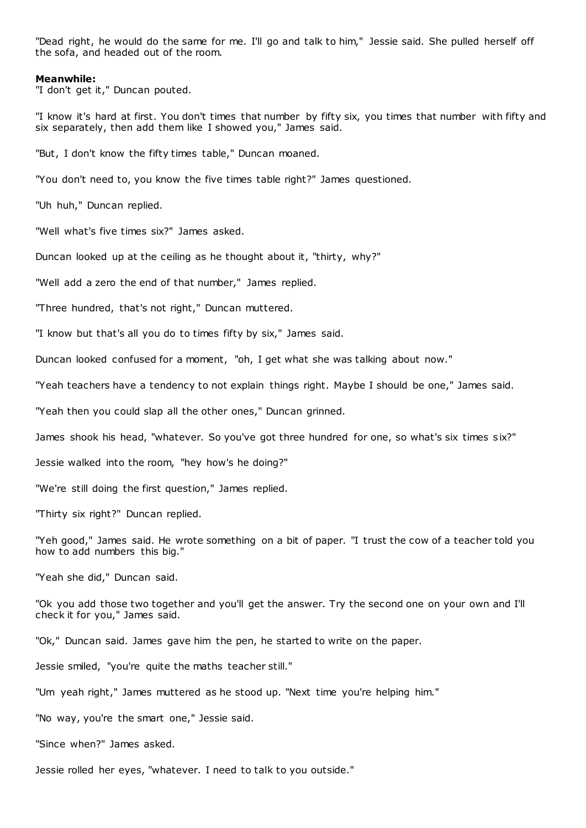"Dead right, he would do the same for me. I'll go and talk to him," Jessie said. She pulled herself off the sofa, and headed out of the room.

## **Meanwhile:**

"I don't get it," Duncan pouted.

"I know it's hard at first. You don't times that number by fifty six, you times that number with fifty and six separately, then add them like I showed you," James said.

"But, I don't know the fifty times table," Duncan moaned.

"You don't need to, you know the five times table right?" James questioned.

"Uh huh," Duncan replied.

"Well what's five times six?" James asked.

Duncan looked up at the ceiling as he thought about it, "thirty, why?"

"Well add a zero the end of that number," James replied.

"Three hundred, that's not right," Duncan muttered.

"I know but that's all you do to times fifty by six," James said.

Duncan looked confused for a moment, "oh, I get what she was talking about now."

"Yeah teachers have a tendency to not explain things right. Maybe I should be one," James said.

"Yeah then you could slap all the other ones," Duncan grinned.

James shook his head, "whatever. So you've got three hundred for one, so what's six times s ix?"

Jessie walked into the room, "hey how's he doing?"

"We're still doing the first question," James replied.

"Thirty six right?" Duncan replied.

"Yeh good," James said. He wrote something on a bit of paper. "I trust the cow of a teacher told you how to add numbers this big."

"Yeah she did," Duncan said.

"Ok you add those two together and you'll get the answer. Try the second one on your own and I'll check it for you," James said.

"Ok," Duncan said. James gave him the pen, he started to write on the paper.

Jessie smiled, "you're quite the maths teacher still."

"Um yeah right," James muttered as he stood up. "Next time you're helping him."

"No way, you're the smart one," Jessie said.

"Since when?" James asked.

Jessie rolled her eyes, "whatever. I need to talk to you outside."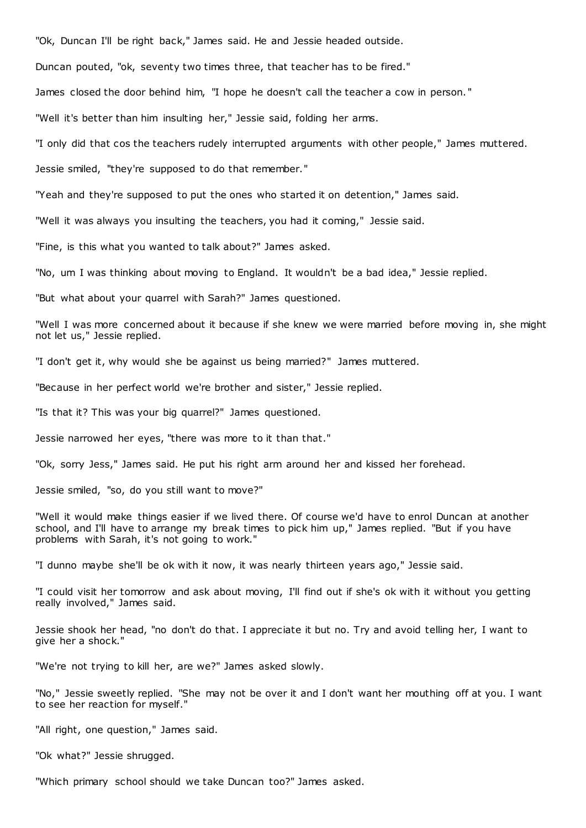"Ok, Duncan I'll be right back," James said. He and Jessie headed outside.

Duncan pouted, "ok, seventy two times three, that teacher has to be fired."

James closed the door behind him, "I hope he doesn't call the teacher a cow in person. "

"Well it's better than him insulting her," Jessie said, folding her arms.

"I only did that cos the teachers rudely interrupted arguments with other people," James muttered.

Jessie smiled, "they're supposed to do that remember."

"Yeah and they're supposed to put the ones who started it on detention," James said.

"Well it was always you insulting the teachers, you had it coming," Jessie said.

"Fine, is this what you wanted to talk about?" James asked.

"No, um I was thinking about moving to England. It wouldn't be a bad idea," Jessie replied.

"But what about your quarrel with Sarah?" James questioned.

"Well I was more concerned about it because if she knew we were married before moving in, she might not let us," Jessie replied.

"I don't get it, why would she be against us being married?" James muttered.

"Because in her perfect world we're brother and sister," Jessie replied.

"Is that it? This was your big quarrel?" James questioned.

Jessie narrowed her eyes, "there was more to it than that."

"Ok, sorry Jess," James said. He put his right arm around her and kissed her forehead.

Jessie smiled, "so, do you still want to move?"

"Well it would make things easier if we lived there. Of course we'd have to enrol Duncan at another school, and I'll have to arrange my break times to pick him up," James replied. "But if you have problems with Sarah, it's not going to work."

"I dunno maybe she'll be ok with it now, it was nearly thirteen years ago," Jessie said.

"I could visit her tomorrow and ask about moving, I'll find out if she's ok with it without you getting really involved," James said.

Jessie shook her head, "no don't do that. I appreciate it but no. Try and avoid telling her, I want to give her a shock."

"We're not trying to kill her, are we?" James asked slowly.

"No," Jessie sweetly replied. "She may not be over it and I don't want her mouthing off at you. I want to see her reaction for myself."

"All right, one question," James said.

"Ok what?" Jessie shrugged.

"Which primary school should we take Duncan too?" James asked.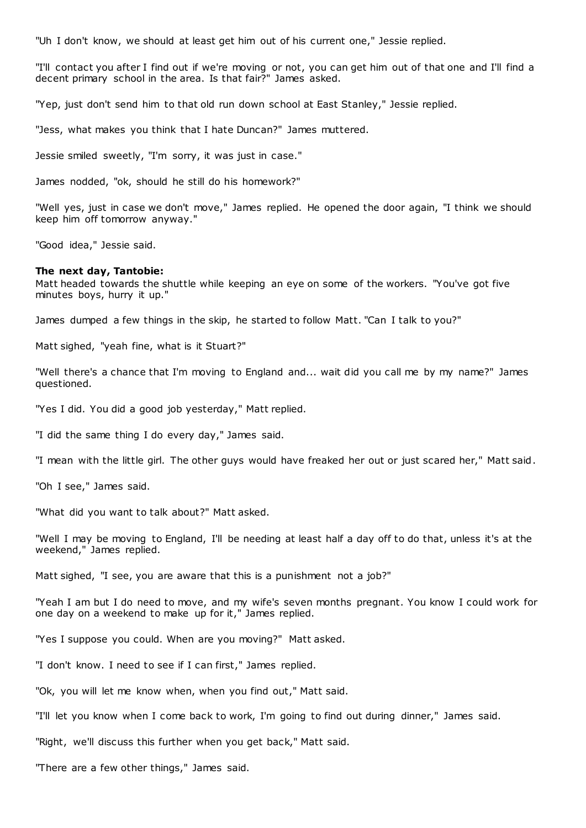"Uh I don't know, we should at least get him out of his current one," Jessie replied.

"I'll contact you after I find out if we're moving or not, you can get him out of that one and I'll find a decent primary school in the area. Is that fair?" James asked.

"Yep, just don't send him to that old run down school at East Stanley," Jessie replied.

"Jess, what makes you think that I hate Duncan?" James muttered.

Jessie smiled sweetly, "I'm sorry, it was just in case."

James nodded, "ok, should he still do his homework?"

"Well yes, just in case we don't move," James replied. He opened the door again, "I think we should keep him off tomorrow anyway."

"Good idea," Jessie said.

# **The next day, Tantobie:**

Matt headed towards the shuttle while keeping an eye on some of the workers. "You've got five minutes boys, hurry it up."

James dumped a few things in the skip, he started to follow Matt. "Can I talk to you?"

Matt sighed, "yeah fine, what is it Stuart?"

"Well there's a chance that I'm moving to England and... wait did you call me by my name?" James questioned.

"Yes I did. You did a good job yesterday," Matt replied.

"I did the same thing I do every day," James said.

"I mean with the little girl. The other guys would have freaked her out or just scared her," Matt said.

"Oh I see," James said.

"What did you want to talk about?" Matt asked.

"Well I may be moving to England, I'll be needing at least half a day off to do that, unless it's at the weekend," James replied.

Matt sighed, "I see, you are aware that this is a punishment not a job?"

"Yeah I am but I do need to move, and my wife's seven months pregnant. You know I could work for one day on a weekend to make up for it," James replied.

"Yes I suppose you could. When are you moving?" Matt asked.

"I don't know. I need to see if I can first," James replied.

"Ok, you will let me know when, when you find out," Matt said.

"I'll let you know when I come back to work, I'm going to find out during dinner," James said.

"Right, we'll discuss this further when you get back," Matt said.

"There are a few other things," James said.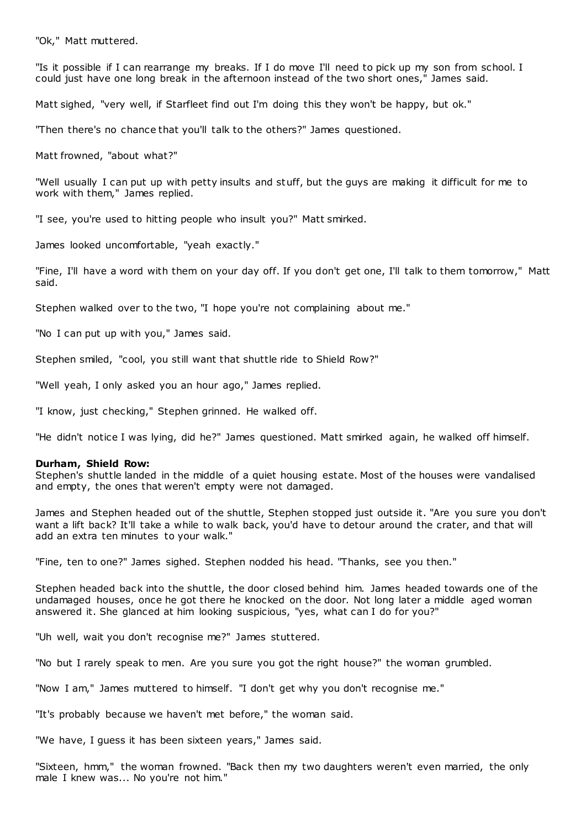"Ok," Matt muttered.

"Is it possible if I can rearrange my breaks. If I do move I'll need to pick up my son from school. I could just have one long break in the afternoon instead of the two short ones," James said.

Matt sighed, "very well, if Starfleet find out I'm doing this they won't be happy, but ok."

"Then there's no chance that you'll talk to the others?" James questioned.

Matt frowned, "about what?"

"Well usually I can put up with petty insults and stuff, but the guys are making it difficult for me to work with them," James replied.

"I see, you're used to hitting people who insult you?" Matt smirked.

James looked uncomfortable, "yeah exactly."

"Fine, I'll have a word with them on your day off. If you don't get one, I'll talk to them tomorrow," Matt said.

Stephen walked over to the two, "I hope you're not complaining about me."

"No I can put up with you," James said.

Stephen smiled, "cool, you still want that shuttle ride to Shield Row?"

"Well yeah, I only asked you an hour ago," James replied.

"I know, just checking," Stephen grinned. He walked off.

"He didn't notice I was lying, did he?" James questioned. Matt smirked again, he walked off himself.

# **Durham, Shield Row:**

Stephen's shuttle landed in the middle of a quiet housing estate. Most of the houses were vandalised and empty, the ones that weren't empty were not damaged.

James and Stephen headed out of the shuttle, Stephen stopped just outside it. "Are you sure you don't want a lift back? It'll take a while to walk back, you'd have to detour around the crater, and that will add an extra ten minutes to your walk."

"Fine, ten to one?" James sighed. Stephen nodded his head. "Thanks, see you then."

Stephen headed back into the shuttle, the door closed behind him. James headed towards one of the undamaged houses, once he got there he knocked on the door. Not long later a middle aged woman answered it. She glanced at him looking suspicious, "yes, what can I do for you?"

"Uh well, wait you don't recognise me?" James stuttered.

"No but I rarely speak to men. Are you sure you got the right house?" the woman grumbled.

"Now I am," James muttered to himself. "I don't get why you don't recognise me."

"It's probably because we haven't met before," the woman said.

"We have, I guess it has been sixteen years," James said.

"Sixteen, hmm," the woman frowned. "Back then my two daughters weren't even married, the only male I knew was... No you're not him."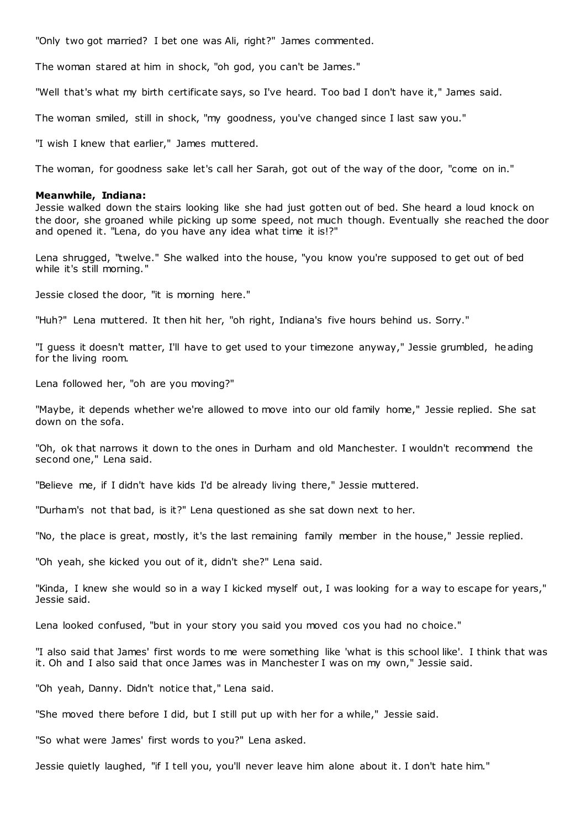"Only two got married? I bet one was Ali, right?" James commented.

The woman stared at him in shock, "oh god, you can't be James."

"Well that's what my birth certificate says, so I've heard. Too bad I don't have it," James said.

The woman smiled, still in shock, "my goodness, you've changed since I last saw you."

"I wish I knew that earlier," James muttered.

The woman, for goodness sake let's call her Sarah, got out of the way of the door, "come on in."

## **Meanwhile, Indiana:**

Jessie walked down the stairs looking like she had just gotten out of bed. She heard a loud knock on the door, she groaned while picking up some speed, not much though. Eventually she reached the door and opened it. "Lena, do you have any idea what time it is!?"

Lena shrugged, "twelve." She walked into the house, "you know you're supposed to get out of bed while it's still morning."

Jessie closed the door, "it is morning here."

"Huh?" Lena muttered. It then hit her, "oh right, Indiana's five hours behind us. Sorry."

"I guess it doesn't matter, I'll have to get used to your timezone anyway," Jessie grumbled, heading for the living room.

Lena followed her, "oh are you moving?"

"Maybe, it depends whether we're allowed to move into our old family home," Jessie replied. She sat down on the sofa.

"Oh, ok that narrows it down to the ones in Durham and old Manchester. I wouldn't recommend the second one," Lena said.

"Believe me, if I didn't have kids I'd be already living there," Jessie muttered.

"Durham's not that bad, is it?" Lena questioned as she sat down next to her.

"No, the place is great, mostly, it's the last remaining family member in the house," Jessie replied.

"Oh yeah, she kicked you out of it, didn't she?" Lena said.

"Kinda, I knew she would so in a way I kicked myself out, I was looking for a way to escape for years," Jessie said.

Lena looked confused, "but in your story you said you moved cos you had no choice."

"I also said that James' first words to me were something like 'what is this school like'. I think that was it. Oh and I also said that once James was in Manchester I was on my own," Jessie said.

"Oh yeah, Danny. Didn't notice that," Lena said.

"She moved there before I did, but I still put up with her for a while," Jessie said.

"So what were James' first words to you?" Lena asked.

Jessie quietly laughed, "if I tell you, you'll never leave him alone about it. I don't hate him."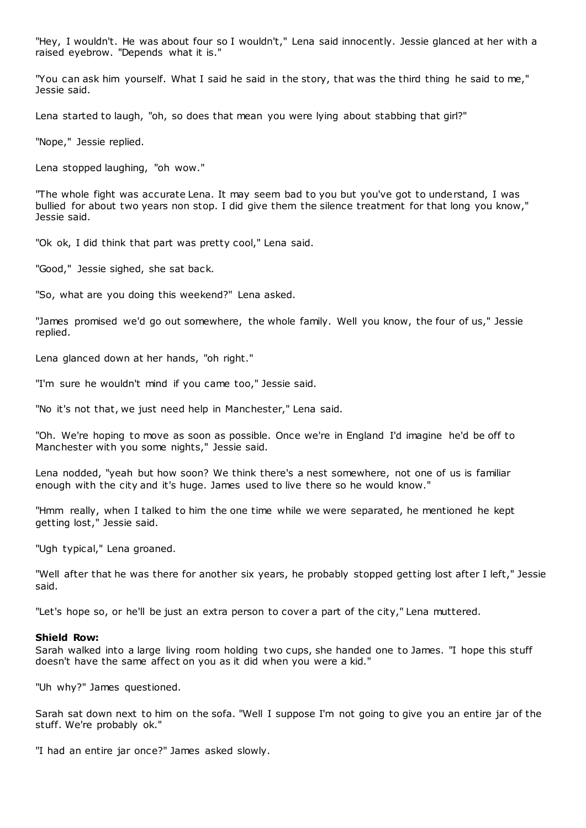"Hey, I wouldn't. He was about four so I wouldn't," Lena said innocently. Jessie glanced at her with a raised eyebrow. "Depends what it is."

"You can ask him yourself. What I said he said in the story, that was the third thing he said to me," Jessie said.

Lena started to laugh, "oh, so does that mean you were lying about stabbing that girl?"

"Nope," Jessie replied.

Lena stopped laughing, "oh wow."

"The whole fight was accurate Lena. It may seem bad to you but you've got to understand, I was bullied for about two years non stop. I did give them the silence treatment for that long you know," Jessie said.

"Ok ok, I did think that part was pretty cool," Lena said.

"Good," Jessie sighed, she sat back.

"So, what are you doing this weekend?" Lena asked.

"James promised we'd go out somewhere, the whole family. Well you know, the four of us," Jessie replied.

Lena glanced down at her hands, "oh right."

"I'm sure he wouldn't mind if you came too," Jessie said.

"No it's not that, we just need help in Manchester," Lena said.

"Oh. We're hoping to move as soon as possible. Once we're in England I'd imagine he'd be off to Manchester with you some nights," Jessie said.

Lena nodded, "yeah but how soon? We think there's a nest somewhere, not one of us is familiar enough with the city and it's huge. James used to live there so he would know."

"Hmm really, when I talked to him the one time while we were separated, he mentioned he kept getting lost," Jessie said.

"Ugh typical," Lena groaned.

"Well after that he was there for another six years, he probably stopped getting lost after I left," Jessie said.

"Let's hope so, or he'll be just an extra person to cover a part of the city," Lena muttered.

#### **Shield Row:**

Sarah walked into a large living room holding two cups, she handed one to James. "I hope this stuff doesn't have the same affect on you as it did when you were a kid."

"Uh why?" James questioned.

Sarah sat down next to him on the sofa. "Well I suppose I'm not going to give you an entire jar of the stuff. We're probably ok."

"I had an entire jar once?" James asked slowly.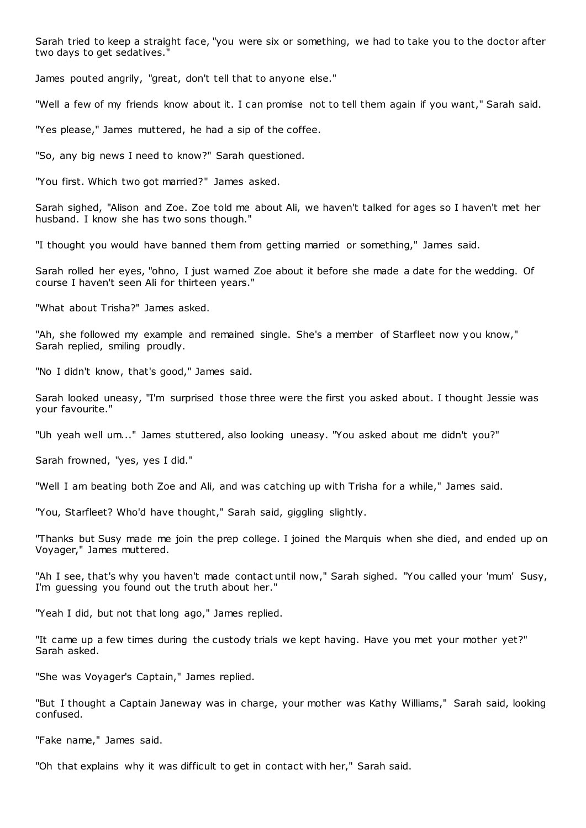Sarah tried to keep a straight face, "you were six or something, we had to take you to the doctor after two days to get sedatives."

James pouted angrily, "great, don't tell that to anyone else."

"Well a few of my friends know about it. I can promise not to tell them again if you want," Sarah said.

"Yes please," James muttered, he had a sip of the coffee.

"So, any big news I need to know?" Sarah questioned.

"You first. Which two got married?" James asked.

Sarah sighed, "Alison and Zoe. Zoe told me about Ali, we haven't talked for ages so I haven't met her husband. I know she has two sons though."

"I thought you would have banned them from getting married or something," James said.

Sarah rolled her eyes, "ohno, I just warned Zoe about it before she made a date for the wedding. Of course I haven't seen Ali for thirteen years."

"What about Trisha?" James asked.

"Ah, she followed my example and remained single. She's a member of Starfleet now you know," Sarah replied, smiling proudly.

"No I didn't know, that's good," James said.

Sarah looked uneasy, "I'm surprised those three were the first you asked about. I thought Jessie was your favourite."

"Uh yeah well um..." James stuttered, also looking uneasy. "You asked about me didn't you?"

Sarah frowned, "yes, yes I did."

"Well I am beating both Zoe and Ali, and was catching up with Trisha for a while," James said.

"You, Starfleet? Who'd have thought," Sarah said, giggling slightly.

"Thanks but Susy made me join the prep college. I joined the Marquis when she died, and ended up on Voyager," James muttered.

"Ah I see, that's why you haven't made contact until now," Sarah sighed. "You called your 'mum' Susy, I'm guessing you found out the truth about her."

"Yeah I did, but not that long ago," James replied.

"It came up a few times during the custody trials we kept having. Have you met your mother yet?" Sarah asked.

"She was Voyager's Captain," James replied.

"But I thought a Captain Janeway was in charge, your mother was Kathy Williams," Sarah said, looking confused.

"Fake name," James said.

"Oh that explains why it was difficult to get in contact with her," Sarah said.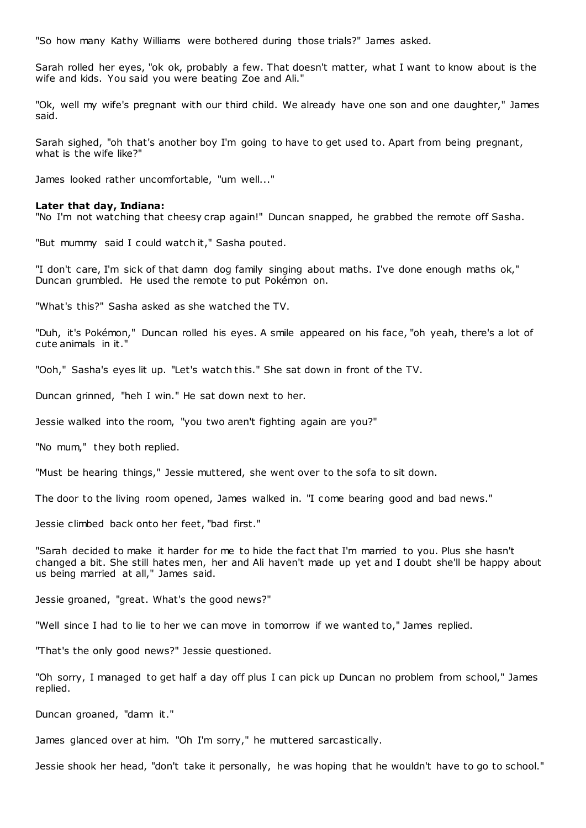"So how many Kathy Williams were bothered during those trials?" James asked.

Sarah rolled her eyes, "ok ok, probably a few. That doesn't matter, what I want to know about is the wife and kids. You said you were beating Zoe and Ali."

"Ok, well my wife's pregnant with our third child. We already have one son and one daughter," James said.

Sarah sighed, "oh that's another boy I'm going to have to get used to. Apart from being pregnant, what is the wife like?"

James looked rather uncomfortable, "um well..."

#### **Later that day, Indiana:**

"No I'm not watching that cheesy crap again!" Duncan snapped, he grabbed the remote off Sasha.

"But mummy said I could watch it," Sasha pouted.

"I don't care, I'm sick of that damn dog family singing about maths. I've done enough maths ok," Duncan grumbled. He used the remote to put Pokémon on.

"What's this?" Sasha asked as she watched the TV.

"Duh, it's Pokémon," Duncan rolled his eyes. A smile appeared on his face, "oh yeah, there's a lot of cute animals in it."

"Ooh," Sasha's eyes lit up. "Let's watch this." She sat down in front of the TV.

Duncan grinned, "heh I win." He sat down next to her.

Jessie walked into the room, "you two aren't fighting again are you?"

"No mum," they both replied.

"Must be hearing things," Jessie muttered, she went over to the sofa to sit down.

The door to the living room opened, James walked in. "I come bearing good and bad news."

Jessie climbed back onto her feet, "bad first."

"Sarah decided to make it harder for me to hide the fact that I'm married to you. Plus she hasn't changed a bit. She still hates men, her and Ali haven't made up yet and I doubt she'll be happy about us being married at all," James said.

Jessie groaned, "great. What's the good news?"

"Well since I had to lie to her we can move in tomorrow if we wanted to," James replied.

"That's the only good news?" Jessie questioned.

"Oh sorry, I managed to get half a day off plus I can pick up Duncan no problem from school," James replied.

Duncan groaned, "damn it."

James glanced over at him. "Oh I'm sorry," he muttered sarcastically.

Jessie shook her head, "don't take it personally, he was hoping that he wouldn't have to go to school."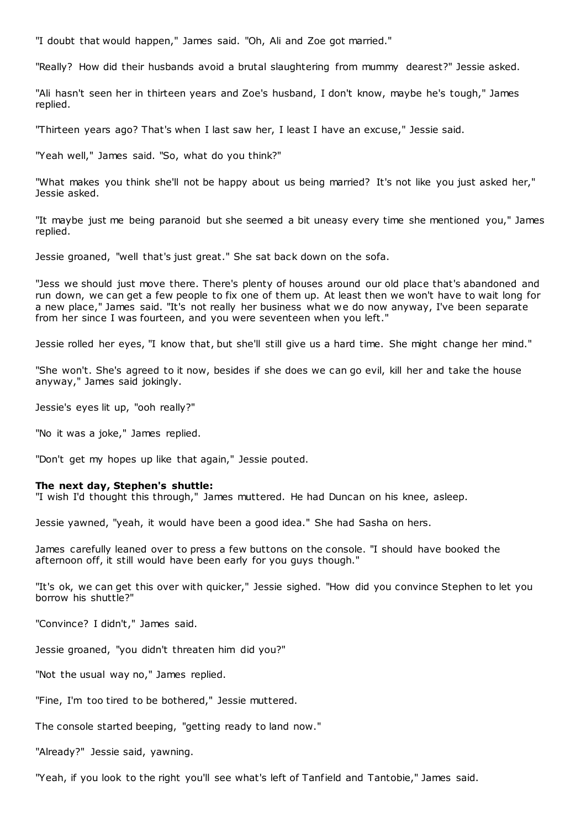"I doubt that would happen," James said. "Oh, Ali and Zoe got married."

"Really? How did their husbands avoid a brutal slaughtering from mummy dearest?" Jessie asked.

"Ali hasn't seen her in thirteen years and Zoe's husband, I don't know, maybe he's tough," James replied.

"Thirteen years ago? That's when I last saw her, I least I have an excuse," Jessie said.

"Yeah well," James said. "So, what do you think?"

"What makes you think she'll not be happy about us being married? It's not like you just asked her," Jessie asked.

"It maybe just me being paranoid but she seemed a bit uneasy every time she mentioned you," James replied.

Jessie groaned, "well that's just great." She sat back down on the sofa.

"Jess we should just move there. There's plenty of houses around our old place that's abandoned and run down, we can get a few people to fix one of them up. At least then we won't have to wait long for a new place," James said. "It's not really her business what we do now anyway, I've been separate from her since I was fourteen, and you were seventeen when you left."

Jessie rolled her eyes, "I know that, but she'll still give us a hard time. She might change her mind."

"She won't. She's agreed to it now, besides if she does we can go evil, kill her and take the house anyway," James said jokingly.

Jessie's eyes lit up, "ooh really?"

"No it was a joke," James replied.

"Don't get my hopes up like that again," Jessie pouted.

#### **The next day, Stephen's shuttle:**

"I wish I'd thought this through," James muttered. He had Duncan on his knee, asleep.

Jessie yawned, "yeah, it would have been a good idea." She had Sasha on hers.

James carefully leaned over to press a few buttons on the console. "I should have booked the afternoon off, it still would have been early for you guys though."

"It's ok, we can get this over with quicker," Jessie sighed. "How did you convince Stephen to let you borrow his shuttle?"

"Convince? I didn't," James said.

Jessie groaned, "you didn't threaten him did you?"

"Not the usual way no," James replied.

"Fine, I'm too tired to be bothered," Jessie muttered.

The console started beeping, "getting ready to land now."

"Already?" Jessie said, yawning.

"Yeah, if you look to the right you'll see what's left of Tanfield and Tantobie," James said.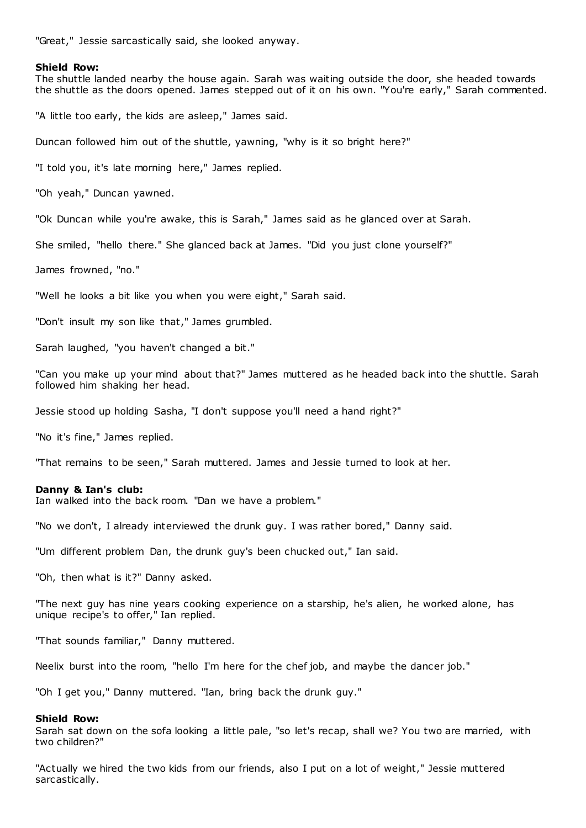"Great," Jessie sarcastically said, she looked anyway.

### **Shield Row:**

The shuttle landed nearby the house again. Sarah was waiting outside the door, she headed towards the shuttle as the doors opened. James stepped out of it on his own. "You're early," Sarah commented.

"A little too early, the kids are asleep," James said.

Duncan followed him out of the shuttle, yawning, "why is it so bright here?"

"I told you, it's late morning here," James replied.

"Oh yeah," Duncan yawned.

"Ok Duncan while you're awake, this is Sarah," James said as he glanced over at Sarah.

She smiled, "hello there." She glanced back at James. "Did you just clone yourself?"

James frowned, "no."

"Well he looks a bit like you when you were eight," Sarah said.

"Don't insult my son like that," James grumbled.

Sarah laughed, "you haven't changed a bit."

"Can you make up your mind about that?" James muttered as he headed back into the shuttle. Sarah followed him shaking her head.

Jessie stood up holding Sasha, "I don't suppose you'll need a hand right?"

"No it's fine," James replied.

"That remains to be seen," Sarah muttered. James and Jessie turned to look at her.

## **Danny & Ian's club:**

Ian walked into the back room. "Dan we have a problem."

"No we don't, I already interviewed the drunk guy. I was rather bored," Danny said.

"Um different problem Dan, the drunk guy's been chucked out," Ian said.

"Oh, then what is it?" Danny asked.

"The next guy has nine years cooking experience on a starship, he's alien, he worked alone, has unique recipe's to offer," Ian replied.

"That sounds familiar," Danny muttered.

Neelix burst into the room, "hello I'm here for the chef job, and maybe the dancer job."

"Oh I get you," Danny muttered. "Ian, bring back the drunk guy."

## **Shield Row:**

Sarah sat down on the sofa looking a little pale, "so let's recap, shall we? You two are married, with two children?"

"Actually we hired the two kids from our friends, also I put on a lot of weight," Jessie muttered sarcastically.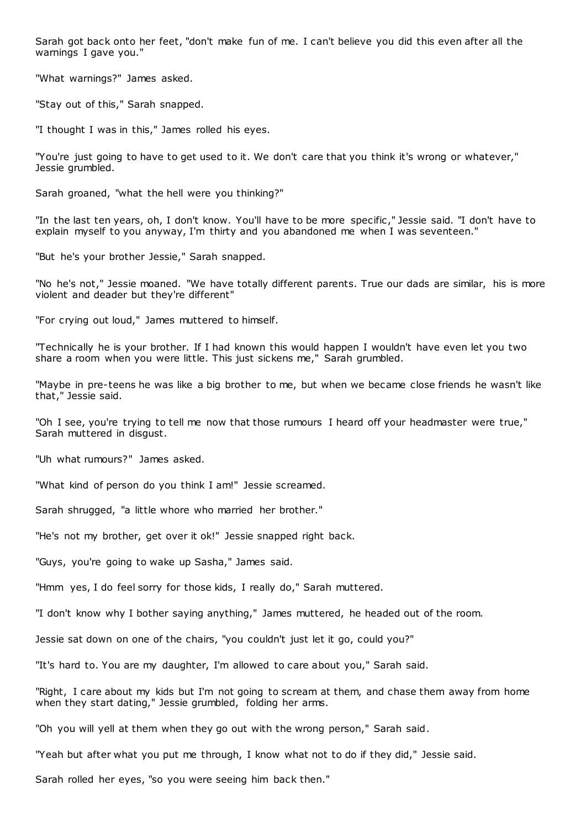Sarah got back onto her feet, "don't make fun of me. I can't believe you did this even after all the warnings I gave you."

"What warnings?" James asked.

"Stay out of this," Sarah snapped.

"I thought I was in this," James rolled his eyes.

"You're just going to have to get used to it. We don't care that you think it's wrong or whatever," Jessie grumbled.

Sarah groaned, "what the hell were you thinking?"

"In the last ten years, oh, I don't know. You'll have to be more specific ," Jessie said. "I don't have to explain myself to you anyway, I'm thirty and you abandoned me when I was seventeen."

"But he's your brother Jessie," Sarah snapped.

"No he's not," Jessie moaned. "We have totally different parents. True our dads are similar, his is more violent and deader but they're different"

"For crying out loud," James muttered to himself.

"Technically he is your brother. If I had known this would happen I wouldn't have even let you two share a room when you were little. This just sickens me," Sarah grumbled.

"Maybe in pre-teens he was like a big brother to me, but when we became close friends he wasn't like that," Jessie said.

"Oh I see, you're trying to tell me now that those rumours I heard off your headmaster were true," Sarah muttered in disgust.

"Uh what rumours?" James asked.

"What kind of person do you think I am!" Jessie screamed.

Sarah shrugged, "a little whore who married her brother."

"He's not my brother, get over it ok!" Jessie snapped right back.

"Guys, you're going to wake up Sasha," James said.

"Hmm yes, I do feel sorry for those kids, I really do," Sarah muttered.

"I don't know why I bother saying anything," James muttered, he headed out of the room.

Jessie sat down on one of the chairs, "you couldn't just let it go, could you?"

"It's hard to. You are my daughter, I'm allowed to care about you," Sarah said.

"Right, I care about my kids but I'm not going to scream at them, and chase them away from home when they start dating," Jessie grumbled, folding her arms.

"Oh you will yell at them when they go out with the wrong person," Sarah said.

"Yeah but after what you put me through, I know what not to do if they did," Jessie said.

Sarah rolled her eyes, "so you were seeing him back then."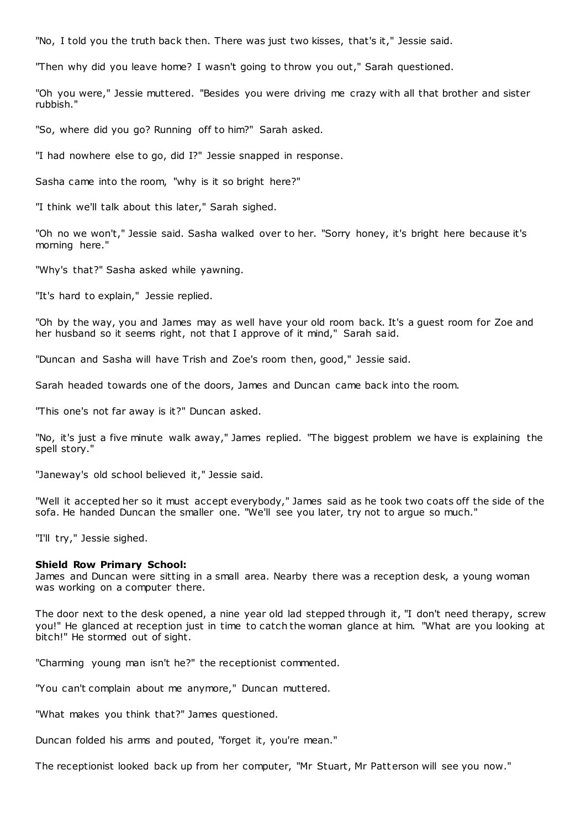"No, I told you the truth back then. There was just two kisses, that's it," Jessie said.

"Then why did you leave home? I wasn't going to throw you out," Sarah questioned.

"Oh you were," Jessie muttered. "Besides you were driving me crazy with all that brother and sister rubbish."

"So, where did you go? Running off to him?" Sarah asked.

"I had nowhere else to go, did I?" Jessie snapped in response.

Sasha came into the room, "why is it so bright here?"

"I think we'll talk about this later," Sarah sighed.

"Oh no we won't," Jessie said. Sasha walked over to her. "Sorry honey, it's bright here because it's morning here."

"Why's that?" Sasha asked while yawning.

"It's hard to explain," Jessie replied.

"Oh by the way, you and James may as well have your old room back. It's a guest room for Zoe and her husband so it seems right, not that I approve of it mind," Sarah said.

"Duncan and Sasha will have Trish and Zoe's room then, good," Jessie said.

Sarah headed towards one of the doors, James and Duncan came back into the room.

"This one's not far away is it?" Duncan asked.

"No, it's just a five minute walk away," James replied. "The biggest problem we have is explaining the spell story."

"Janeway's old school believed it," Jessie said.

"Well it accepted her so it must accept everybody," James said as he took two coats off the side of the sofa. He handed Duncan the smaller one. "We'll see you later, try not to argue so much."

"I'll try," Jessie sighed.

## **Shield Row Primary School:**

James and Duncan were sitting in a small area. Nearby there was a reception desk, a young woman was working on a computer there.

The door next to the desk opened, a nine year old lad stepped through it, "I don't need therapy, screw you!" He glanced at reception just in time to catch the woman glance at him. "What are you looking at bitch!" He stormed out of sight.

"Charming young man isn't he?" the receptionist commented.

"You can't complain about me anymore," Duncan muttered.

"What makes you think that?" James questioned.

Duncan folded his arms and pouted, "forget it, you're mean."

The receptionist looked back up from her computer, "Mr Stuart, Mr Patt erson will see you now."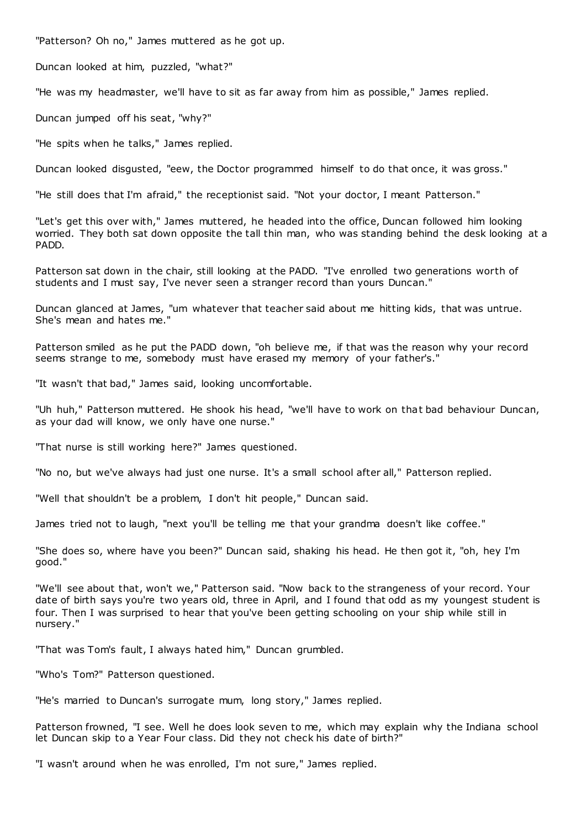"Patterson? Oh no," James muttered as he got up.

Duncan looked at him, puzzled, "what?"

"He was my headmaster, we'll have to sit as far away from him as possible," James replied.

Duncan jumped off his seat, "why?"

"He spits when he talks," James replied.

Duncan looked disgusted, "eew, the Doctor programmed himself to do that once, it was gross."

"He still does that I'm afraid," the receptionist said. "Not your doctor, I meant Patterson."

"Let's get this over with," James muttered, he headed into the office, Duncan followed him looking worried. They both sat down opposite the tall thin man, who was standing behind the desk looking at a PADD.

Patterson sat down in the chair, still looking at the PADD. "I've enrolled two generations worth of students and I must say, I've never seen a stranger record than yours Duncan."

Duncan glanced at James, "um whatever that teacher said about me hitting kids, that was untrue. She's mean and hates me."

Patterson smiled as he put the PADD down, "oh believe me, if that was the reason why your record seems strange to me, somebody must have erased my memory of your father's."

"It wasn't that bad," James said, looking uncomfortable.

"Uh huh," Patterson muttered. He shook his head, "we'll have to work on that bad behaviour Duncan, as your dad will know, we only have one nurse."

"That nurse is still working here?" James questioned.

"No no, but we've always had just one nurse. It's a small school after all," Patterson replied.

"Well that shouldn't be a problem, I don't hit people," Duncan said.

James tried not to laugh, "next you'll be telling me that your grandma doesn't like coffee."

"She does so, where have you been?" Duncan said, shaking his head. He then got it, "oh, hey I'm good."

"We'll see about that, won't we," Patterson said. "Now back to the strangeness of your record. Your date of birth says you're two years old, three in April, and I found that odd as my youngest student is four. Then I was surprised to hear that you've been getting schooling on your ship while still in nursery."

"That was Tom's fault, I always hated him," Duncan grumbled.

"Who's Tom?" Patterson questioned.

"He's married to Duncan's surrogate mum, long story," James replied.

Patterson frowned, "I see. Well he does look seven to me, which may explain why the Indiana school let Duncan skip to a Year Four class. Did they not check his date of birth?"

"I wasn't around when he was enrolled, I'm not sure," James replied.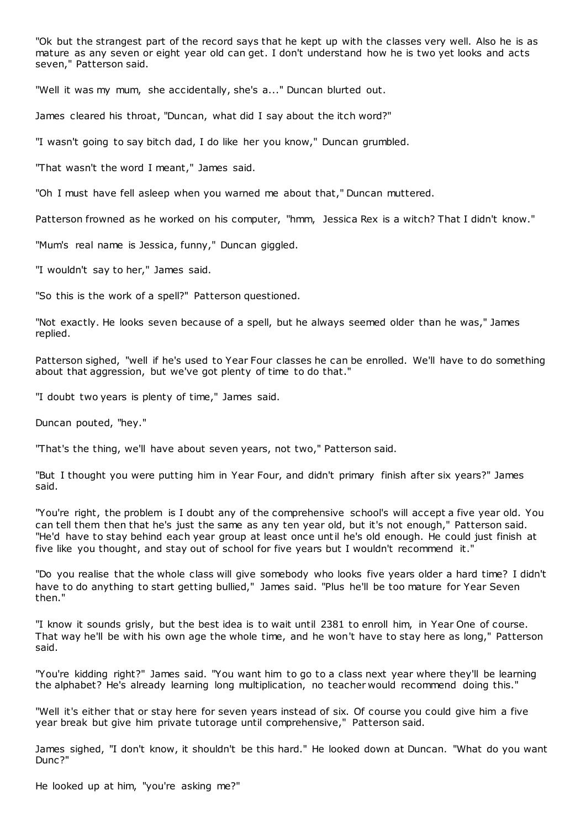"Ok but the strangest part of the record says that he kept up with the classes very well. Also he is as mature as any seven or eight year old can get. I don't understand how he is two yet looks and acts seven," Patterson said.

"Well it was my mum, she accidentally, she's a..." Duncan blurted out.

James cleared his throat, "Duncan, what did I say about the itch word?"

"I wasn't going to say bitch dad, I do like her you know," Duncan grumbled.

"That wasn't the word I meant," James said.

"Oh I must have fell asleep when you warned me about that," Duncan muttered.

Patterson frowned as he worked on his computer, "hmm, Jessica Rex is a witch? That I didn't know."

"Mum's real name is Jessica, funny," Duncan giggled.

"I wouldn't say to her," James said.

"So this is the work of a spell?" Patterson questioned.

"Not exactly. He looks seven because of a spell, but he always seemed older than he was," James replied.

Patterson sighed, "well if he's used to Year Four classes he can be enrolled. We'll have to do something about that aggression, but we've got plenty of time to do that."

"I doubt two years is plenty of time," James said.

Duncan pouted, "hey."

"That's the thing, we'll have about seven years, not two," Patterson said.

"But I thought you were putting him in Year Four, and didn't primary finish after six years?" James said.

"You're right, the problem is I doubt any of the comprehensive school's will accept a five year old. You can tell them then that he's just the same as any ten year old, but it's not enough," Patterson said. "He'd have to stay behind each year group at least once until he's old enough. He could just finish at five like you thought, and stay out of school for five years but I wouldn't recommend it."

"Do you realise that the whole class will give somebody who looks five years older a hard time? I didn't have to do anything to start getting bullied," James said. "Plus he'll be too mature for Year Seven then."

"I know it sounds grisly, but the best idea is to wait until 2381 to enroll him, in Year One of course. That way he'll be with his own age the whole time, and he won't have to stay here as long," Patterson said.

"You're kidding right?" James said. "You want him to go to a class next year where they'll be learning the alphabet? He's already learning long multiplication, no teacher would recommend doing this."

"Well it's either that or stay here for seven years instead of six. Of course you could give him a five year break but give him private tutorage until comprehensive," Patterson said.

James sighed, "I don't know, it shouldn't be this hard." He looked down at Duncan. "What do you want Dunc?"

He looked up at him, "you're asking me?"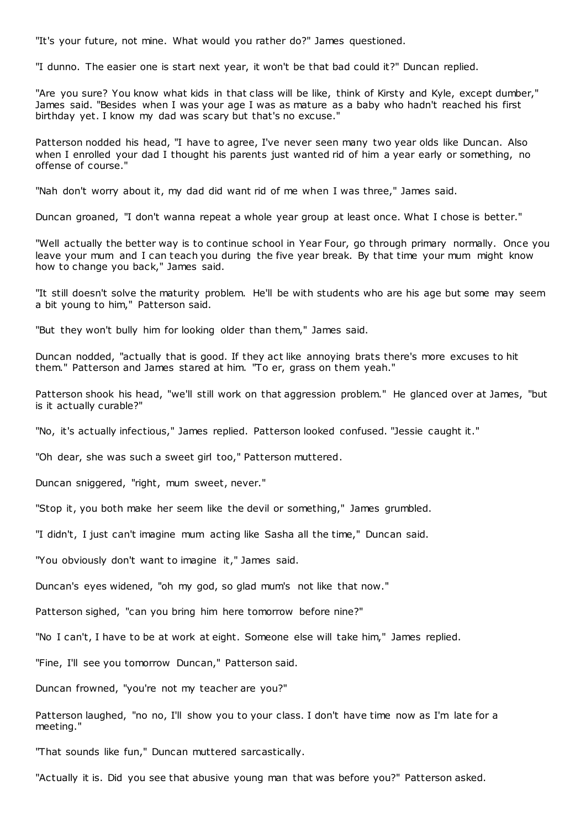"It's your future, not mine. What would you rather do?" James questioned.

"I dunno. The easier one is start next year, it won't be that bad could it?" Duncan replied.

"Are you sure? You know what kids in that class will be like, think of Kirsty and Kyle, except dumber," James said. "Besides when I was your age I was as mature as a baby who hadn't reached his first birthday yet. I know my dad was scary but that's no excuse."

Patterson nodded his head, "I have to agree, I've never seen many two year olds like Duncan. Also when I enrolled your dad I thought his parents just wanted rid of him a year early or something, no offense of course."

"Nah don't worry about it, my dad did want rid of me when I was three," James said.

Duncan groaned, "I don't wanna repeat a whole year group at least once. What I chose is better."

"Well actually the better way is to continue school in Year Four, go through primary normally. Once you leave your mum and I can teach you during the five year break. By that time your mum might know how to change you back," James said.

"It still doesn't solve the maturity problem. He'll be with students who are his age but some may seem a bit young to him," Patterson said.

"But they won't bully him for looking older than them," James said.

Duncan nodded, "actually that is good. If they act like annoying brats there's more excuses to hit them." Patterson and James stared at him. "To er, grass on them yeah."

Patterson shook his head, "we'll still work on that aggression problem." He glanced over at James, "but is it actually curable?"

"No, it's actually infectious," James replied. Patterson looked confused. "Jessie caught it."

"Oh dear, she was such a sweet girl too," Patterson muttered.

Duncan sniggered, "right, mum sweet, never."

"Stop it, you both make her seem like the devil or something," James grumbled.

"I didn't, I just can't imagine mum acting like Sasha all the time," Duncan said.

"You obviously don't want to imagine it," James said.

Duncan's eyes widened, "oh my god, so glad mum's not like that now."

Patterson sighed, "can you bring him here tomorrow before nine?"

"No I can't, I have to be at work at eight. Someone else will take him," James replied.

"Fine, I'll see you tomorrow Duncan," Patterson said.

Duncan frowned, "you're not my teacher are you?"

Patterson laughed, "no no, I'll show you to your class. I don't have time now as I'm late for a meeting."

"That sounds like fun," Duncan muttered sarcastically.

"Actually it is. Did you see that abusive young man that was before you?" Patterson asked.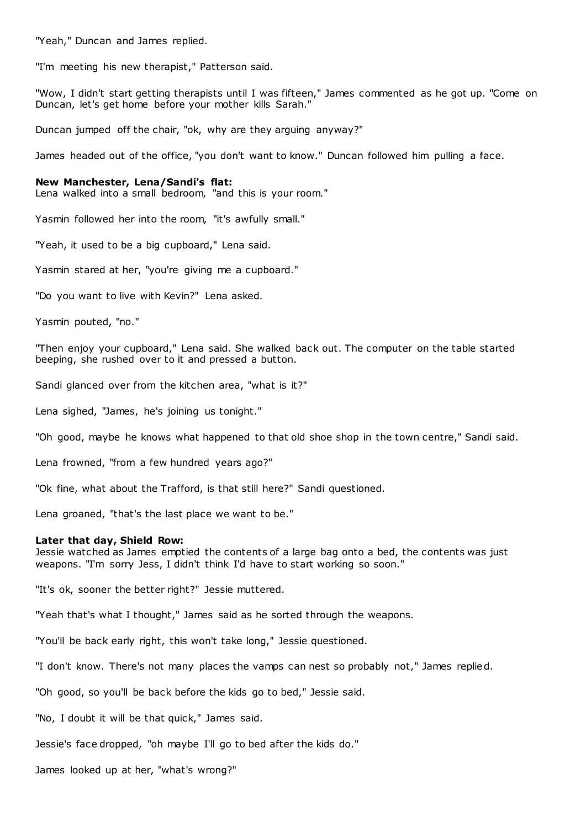"Yeah," Duncan and James replied.

"I'm meeting his new therapist," Patterson said.

"Wow, I didn't start getting therapists until I was fifteen," James commented as he got up. "Come on Duncan, let's get home before your mother kills Sarah."

Duncan jumped off the chair, "ok, why are they arguing anyway?"

James headed out of the office, "you don't want to know." Duncan followed him pulling a face.

## **New Manchester, Lena/Sandi's flat:**

Lena walked into a small bedroom, "and this is your room."

Yasmin followed her into the room, "it's awfully small."

"Yeah, it used to be a big cupboard," Lena said.

Yasmin stared at her, "you're giving me a cupboard."

"Do you want to live with Kevin?" Lena asked.

Yasmin pouted, "no."

"Then enjoy your cupboard," Lena said. She walked back out. The computer on the table started beeping, she rushed over to it and pressed a button.

Sandi glanced over from the kitchen area, "what is it?"

Lena sighed, "James, he's joining us tonight."

"Oh good, maybe he knows what happened to that old shoe shop in the town centre," Sandi said.

Lena frowned, "from a few hundred years ago?"

"Ok fine, what about the Trafford, is that still here?" Sandi questioned.

Lena groaned, "that's the last place we want to be."

## **Later that day, Shield Row:**

Jessie watched as James emptied the contents of a large bag onto a bed, the contents was just weapons. "I'm sorry Jess, I didn't think I'd have to start working so soon."

"It's ok, sooner the better right?" Jessie muttered.

"Yeah that's what I thought," James said as he sorted through the weapons.

"You'll be back early right, this won't take long," Jessie questioned.

"I don't know. There's not many places the vamps can nest so probably not," James replied.

"Oh good, so you'll be back before the kids go to bed," Jessie said.

"No, I doubt it will be that quick," James said.

Jessie's face dropped, "oh maybe I'll go to bed after the kids do."

James looked up at her, "what's wrong?"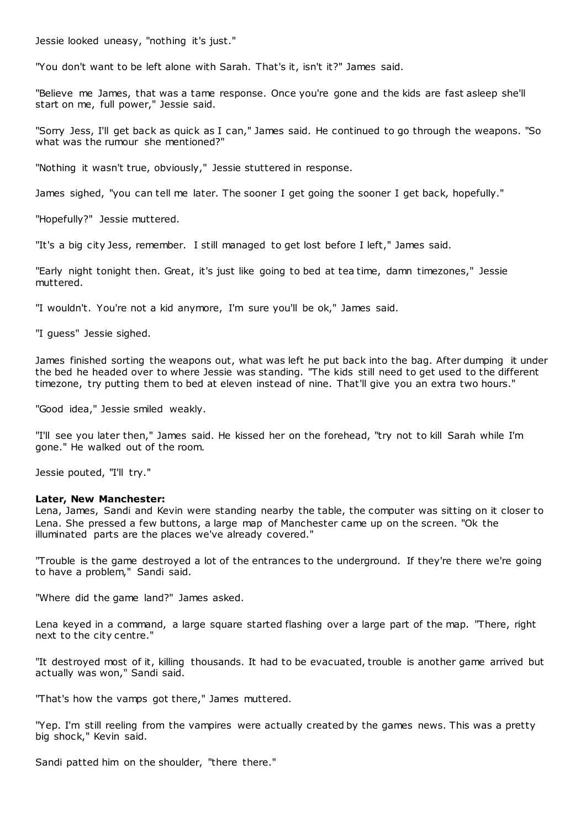Jessie looked uneasy, "nothing it's just."

"You don't want to be left alone with Sarah. That's it, isn't it?" James said.

"Believe me James, that was a tame response. Once you're gone and the kids are fast asleep she'll start on me, full power," Jessie said.

"Sorry Jess, I'll get back as quick as I can," James said. He continued to go through the weapons. "So what was the rumour she mentioned?"

"Nothing it wasn't true, obviously," Jessie stuttered in response.

James sighed, "you can tell me later. The sooner I get going the sooner I get back, hopefully."

"Hopefully?" Jessie muttered.

"It's a big city Jess, remember. I still managed to get lost before I left," James said.

"Early night tonight then. Great, it's just like going to bed at tea time, damn timezones," Jessie muttered.

"I wouldn't. You're not a kid anymore, I'm sure you'll be ok," James said.

"I guess" Jessie sighed.

James finished sorting the weapons out, what was left he put back into the bag. After dumping it under the bed he headed over to where Jessie was standing. "The kids still need to get used to the different timezone, try putting them to bed at eleven instead of nine. That'll give you an extra two hours."

"Good idea," Jessie smiled weakly.

"I'll see you later then," James said. He kissed her on the forehead, "try not to kill Sarah while I'm gone." He walked out of the room.

Jessie pouted, "I'll try."

## **Later, New Manchester:**

Lena, James, Sandi and Kevin were standing nearby the table, the computer was sitting on it closer to Lena. She pressed a few buttons, a large map of Manchester came up on the screen. "Ok the illuminated parts are the places we've already covered."

"Trouble is the game destroyed a lot of the entrances to the underground. If they're there we're going to have a problem," Sandi said.

"Where did the game land?" James asked.

Lena keyed in a command, a large square started flashing over a large part of the map. "There, right next to the city centre."

"It destroyed most of it, killing thousands. It had to be evacuated, trouble is another game arrived but actually was won," Sandi said.

"That's how the vamps got there," James muttered.

"Yep. I'm still reeling from the vampires were actually created by the games news. This was a pretty big shock," Kevin said.

Sandi patted him on the shoulder, "there there."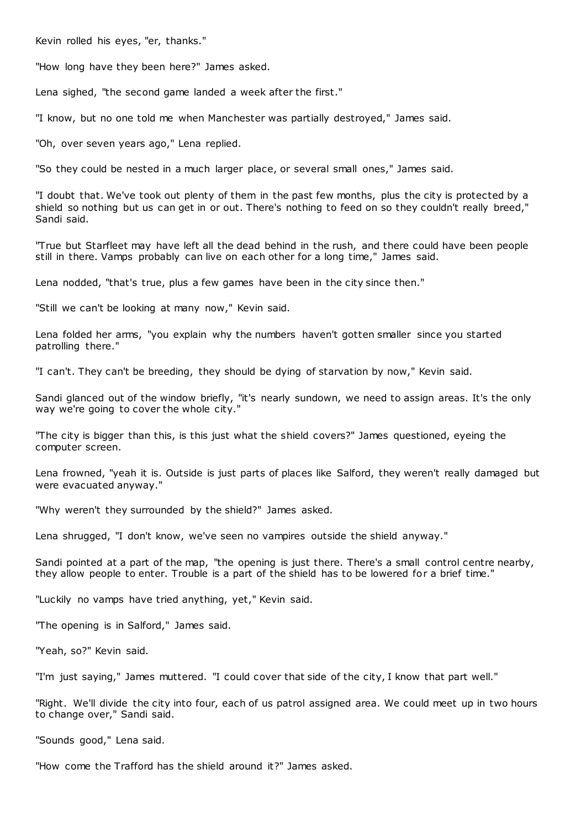Kevin rolled his eyes, "er, thanks."

"How long have they been here?" James asked.

Lena sighed, "the second game landed a week after the first."

"I know, but no one told me when Manchester was partially destroyed," James said.

"Oh, over seven years ago," Lena replied.

"So they could be nested in a much larger place, or several small ones," James said.

"I doubt that. We've took out plenty of them in the past few months, plus the city is protected by a shield so nothing but us can get in or out. There's nothing to feed on so they couldn't really breed," Sandi said.

"True but Starfleet may have left all the dead behind in the rush, and there could have been people still in there. Vamps probably can live on each other for a long time," James said.

Lena nodded, "that's true, plus a few games have been in the city since then."

"Still we can't be looking at many now," Kevin said.

Lena folded her arms, "you explain why the numbers haven't gotten smaller since you started patrolling there."

"I can't. They can't be breeding, they should be dying of starvation by now," Kevin said.

Sandi glanced out of the window briefly, "it's nearly sundown, we need to assign areas. It's the only way we're going to cover the whole city."

"The city is bigger than this, is this just what the shield covers?" James questioned, eyeing the computer screen.

Lena frowned, "yeah it is. Outside is just parts of places like Salford, they weren't really damaged but were evacuated anyway."

"Why weren't they surrounded by the shield?" James asked.

Lena shrugged, "I don't know, we've seen no vampires outside the shield anyway."

Sandi pointed at a part of the map, "the opening is just there. There's a small control centre nearby, they allow people to enter. Trouble is a part of the shield has to be lowered for a brief time."

"Luckily no vamps have tried anything, yet," Kevin said.

"The opening is in Salford," James said.

"Yeah, so?" Kevin said.

"I'm just saying," James muttered. "I could cover that side of the city, I know that part well."

"Right. We'll divide the city into four, each of us patrol assigned area. We could meet up in two hours to change over," Sandi said.

"Sounds good," Lena said.

"How come the Trafford has the shield around it?" James asked.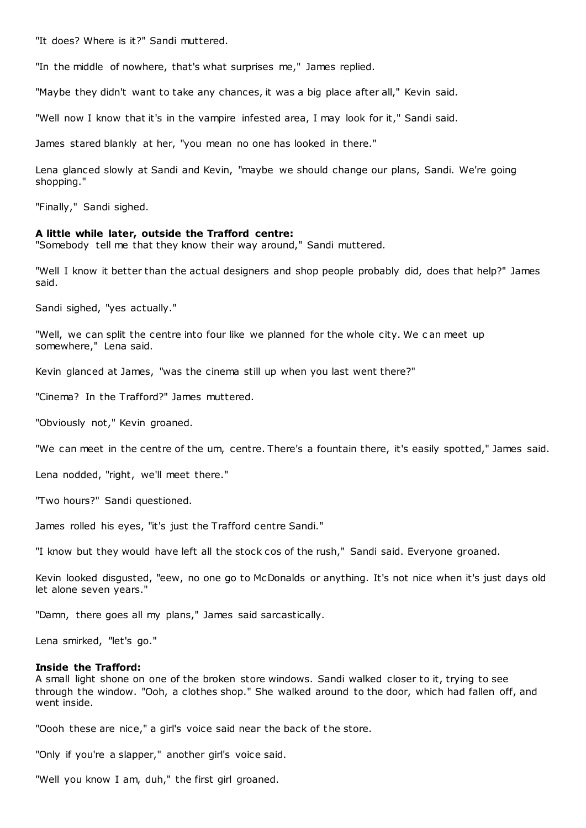"It does? Where is it?" Sandi muttered.

"In the middle of nowhere, that's what surprises me," James replied.

"Maybe they didn't want to take any chances, it was a big place after all," Kevin said.

"Well now I know that it's in the vampire infested area, I may look for it," Sandi said.

James stared blankly at her, "you mean no one has looked in there."

Lena glanced slowly at Sandi and Kevin, "maybe we should change our plans, Sandi. We're going shopping."

"Finally," Sandi sighed.

#### **A little while later, outside the Trafford centre:**

"Somebody tell me that they know their way around," Sandi muttered.

"Well I know it better than the actual designers and shop people probably did, does that help?" James said.

Sandi sighed, "yes actually."

"Well, we can split the centre into four like we planned for the whole city. We can meet up somewhere," Lena said.

Kevin glanced at James, "was the cinema still up when you last went there?"

"Cinema? In the Trafford?" James muttered.

"Obviously not," Kevin groaned.

"We can meet in the centre of the um, centre. There's a fountain there, it's easily spotted," James said.

Lena nodded, "right, we'll meet there."

"Two hours?" Sandi questioned.

James rolled his eyes, "it's just the Trafford centre Sandi."

"I know but they would have left all the stock cos of the rush," Sandi said. Everyone groaned.

Kevin looked disgusted, "eew, no one go to McDonalds or anything. It's not nice when it's just days old let alone seven years."

"Damn, there goes all my plans," James said sarcastically.

Lena smirked, "let's go."

## **Inside the Trafford:**

A small light shone on one of the broken store windows. Sandi walked closer to it, trying to see through the window. "Ooh, a clothes shop." She walked around to the door, which had fallen off, and went inside.

"Oooh these are nice," a girl's voice said near the back of the store.

"Only if you're a slapper," another girl's voice said.

"Well you know I am, duh," the first girl groaned.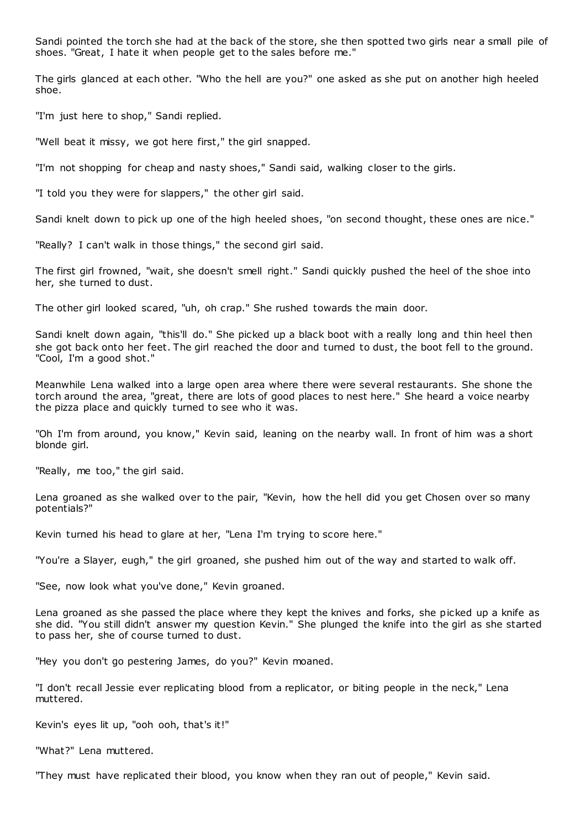Sandi pointed the torch she had at the back of the store, she then spotted two girls near a small pile of shoes. "Great, I hate it when people get to the sales before me."

The girls glanced at each other. "Who the hell are you?" one asked as she put on another high heeled shoe.

"I'm just here to shop," Sandi replied.

"Well beat it missy, we got here first," the girl snapped.

"I'm not shopping for cheap and nasty shoes," Sandi said, walking closer to the girls.

"I told you they were for slappers," the other girl said.

Sandi knelt down to pick up one of the high heeled shoes, "on second thought, these ones are nice."

"Really? I can't walk in those things," the second girl said.

The first girl frowned, "wait, she doesn't smell right." Sandi quickly pushed the heel of the shoe into her, she turned to dust.

The other girl looked scared, "uh, oh crap." She rushed towards the main door.

Sandi knelt down again, "this'll do." She picked up a black boot with a really long and thin heel then she got back onto her feet. The girl reached the door and turned to dust, the boot fell to the ground. "Cool, I'm a good shot."

Meanwhile Lena walked into a large open area where there were several restaurants. She shone the torch around the area, "great, there are lots of good places to nest here." She heard a voice nearby the pizza place and quickly turned to see who it was.

"Oh I'm from around, you know," Kevin said, leaning on the nearby wall. In front of him was a short blonde girl.

"Really, me too," the girl said.

Lena groaned as she walked over to the pair, "Kevin, how the hell did you get Chosen over so many potentials?"

Kevin turned his head to glare at her, "Lena I'm trying to score here."

"You're a Slayer, eugh," the girl groaned, she pushed him out of the way and started to walk off.

"See, now look what you've done," Kevin groaned.

Lena groaned as she passed the place where they kept the knives and forks, she picked up a knife as she did. "You still didn't answer my question Kevin." She plunged the knife into the girl as she started to pass her, she of course turned to dust.

"Hey you don't go pestering James, do you?" Kevin moaned.

"I don't recall Jessie ever replicating blood from a replicator, or biting people in the neck," Lena muttered.

Kevin's eyes lit up, "ooh ooh, that's it!"

"What?" Lena muttered.

"They must have replicated their blood, you know when they ran out of people," Kevin said.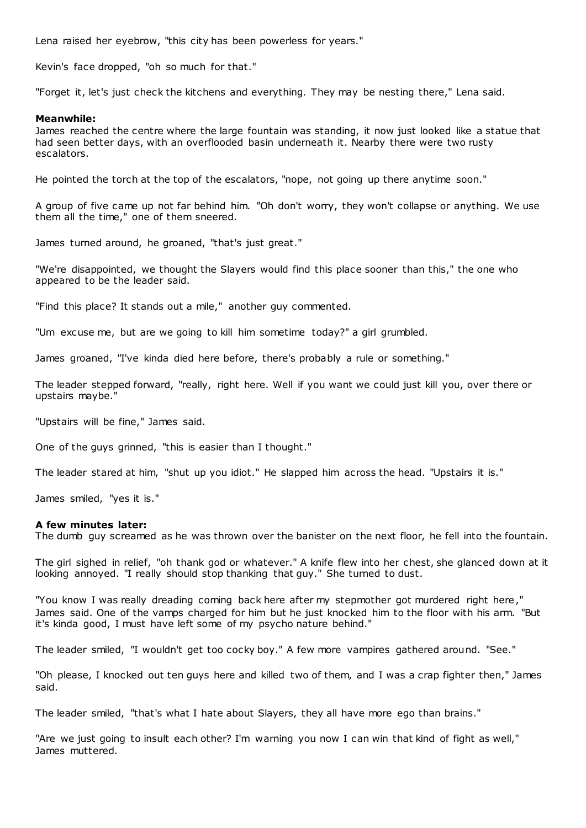Lena raised her eyebrow, "this city has been powerless for years."

Kevin's face dropped, "oh so much for that."

"Forget it, let's just check the kitchens and everything. They may be nesting there," Lena said.

# **Meanwhile:**

James reached the centre where the large fountain was standing, it now just looked like a statue that had seen better days, with an overflooded basin underneath it. Nearby there were two rusty escalators.

He pointed the torch at the top of the escalators, "nope, not going up there anytime soon."

A group of five came up not far behind him. "Oh don't worry, they won't collapse or anything. We use them all the time," one of them sneered.

James turned around, he groaned, "that's just great."

"We're disappointed, we thought the Slayers would find this place sooner than this," the one who appeared to be the leader said.

"Find this place? It stands out a mile," another guy commented.

"Um excuse me, but are we going to kill him sometime today?" a girl grumbled.

James groaned, "I've kinda died here before, there's probably a rule or something."

The leader stepped forward, "really, right here. Well if you want we could just kill you, over there or upstairs maybe."

"Upstairs will be fine," James said.

One of the guys grinned, "this is easier than I thought."

The leader stared at him, "shut up you idiot." He slapped him across the head. "Upstairs it is."

James smiled, "yes it is."

# **A few minutes later:**

The dumb guy screamed as he was thrown over the banister on the next floor, he fell into the fountain.

The girl sighed in relief, "oh thank god or whatever." A knife flew into her chest, she glanced down at it looking annoyed. "I really should stop thanking that guy." She turned to dust.

"You know I was really dreading coming back here after my stepmother got murdered right here," James said. One of the vamps charged for him but he just knocked him to the floor with his arm. "But it's kinda good, I must have left some of my psycho nature behind."

The leader smiled, "I wouldn't get too cocky boy." A few more vampires gathered around. "See."

"Oh please, I knocked out ten guys here and killed two of them, and I was a crap fighter then," James said.

The leader smiled, "that's what I hate about Slayers, they all have more ego than brains."

"Are we just going to insult each other? I'm warning you now I can win that kind of fight as well," James muttered.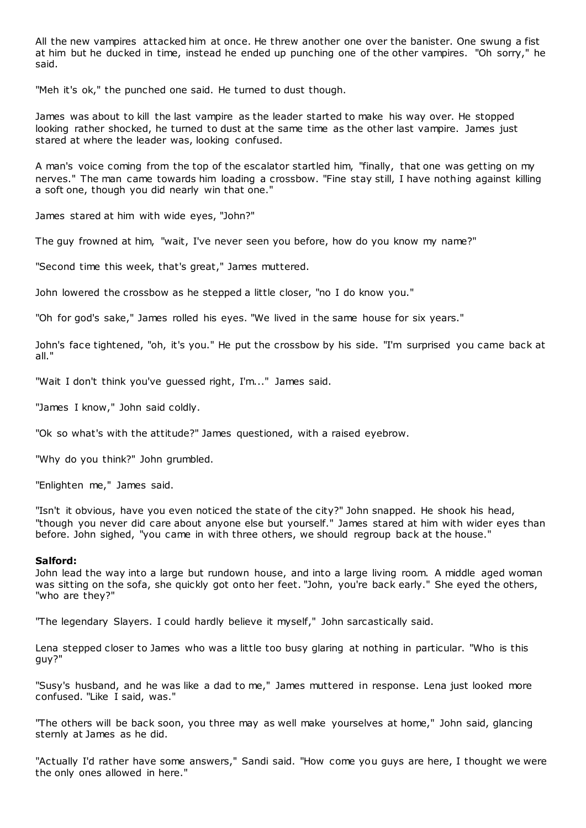All the new vampires attacked him at once. He threw another one over the banister. One swung a fist at him but he ducked in time, instead he ended up punching one of the other vampires. "Oh sorry," he said.

"Meh it's ok," the punched one said. He turned to dust though.

James was about to kill the last vampire as the leader started to make his way over. He stopped looking rather shocked, he turned to dust at the same time as the other last vampire. James just stared at where the leader was, looking confused.

A man's voice coming from the top of the escalator startled him, "finally, that one was getting on my nerves." The man came towards him loading a crossbow. "Fine stay still, I have nothing against killing a soft one, though you did nearly win that one."

James stared at him with wide eyes, "John?"

The guy frowned at him, "wait, I've never seen you before, how do you know my name?"

"Second time this week, that's great," James muttered.

John lowered the crossbow as he stepped a little closer, "no I do know you."

"Oh for god's sake," James rolled his eyes. "We lived in the same house for six years."

John's face tightened, "oh, it's you." He put the crossbow by his side. "I'm surprised you came back at all."

"Wait I don't think you've guessed right, I'm..." James said.

"James I know," John said coldly.

"Ok so what's with the attitude?" James questioned, with a raised eyebrow.

"Why do you think?" John grumbled.

"Enlighten me," James said.

"Isn't it obvious, have you even noticed the state of the city?" John snapped. He shook his head, "though you never did care about anyone else but yourself." James stared at him with wider eyes than before. John sighed, "you came in with three others, we should regroup back at the house."

# **Salford:**

John lead the way into a large but rundown house, and into a large living room. A middle aged woman was sitting on the sofa, she quickly got onto her feet. "John, you're back early." She eyed the others, "who are they?"

"The legendary Slayers. I could hardly believe it myself," John sarcastically said.

Lena stepped closer to James who was a little too busy glaring at nothing in particular. "Who is this guy?"

"Susy's husband, and he was like a dad to me," James muttered in response. Lena just looked more confused. "Like I said, was."

"The others will be back soon, you three may as well make yourselves at home," John said, glancing sternly at James as he did.

"Actually I'd rather have some answers," Sandi said. "How come you guys are here, I thought we were the only ones allowed in here."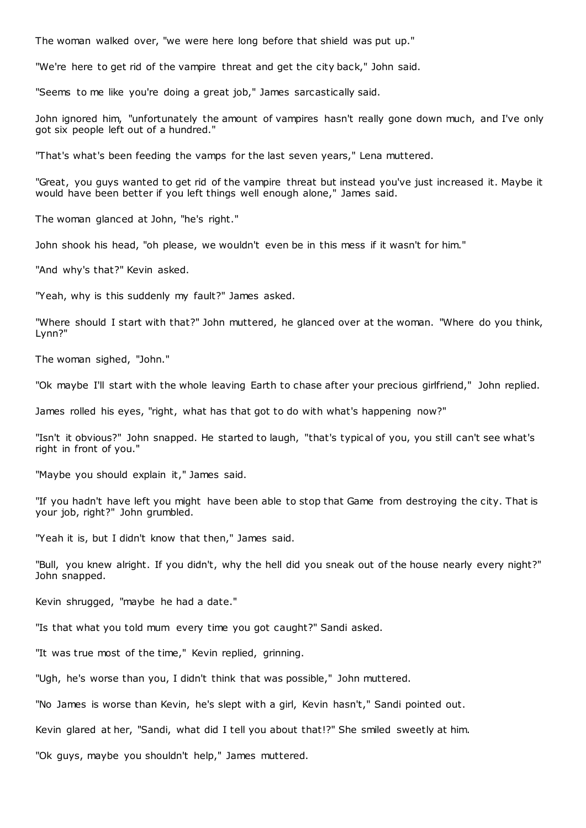The woman walked over, "we were here long before that shield was put up."

"We're here to get rid of the vampire threat and get the city back," John said.

"Seems to me like you're doing a great job," James sarcastically said.

John ignored him, "unfortunately the amount of vampires hasn't really gone down much, and I've only got six people left out of a hundred."

"That's what's been feeding the vamps for the last seven years," Lena muttered.

"Great, you guys wanted to get rid of the vampire threat but instead you've just increased it. Maybe it would have been better if you left things well enough alone," James said.

The woman glanced at John, "he's right."

John shook his head, "oh please, we wouldn't even be in this mess if it wasn't for him."

"And why's that?" Kevin asked.

"Yeah, why is this suddenly my fault?" James asked.

"Where should I start with that?" John muttered, he glanced over at the woman. "Where do you think, Lynn?"

The woman sighed, "John."

"Ok maybe I'll start with the whole leaving Earth to chase after your precious girlfriend," John replied.

James rolled his eyes, "right, what has that got to do with what's happening now?"

"Isn't it obvious?" John snapped. He started to laugh, "that's typical of you, you still can't see what's right in front of you."

"Maybe you should explain it," James said.

"If you hadn't have left you might have been able to stop that Game from destroying the city. That is your job, right?" John grumbled.

"Yeah it is, but I didn't know that then," James said.

"Bull, you knew alright. If you didn't, why the hell did you sneak out of the house nearly every night?" John snapped.

Kevin shrugged, "maybe he had a date."

"Is that what you told mum every time you got caught?" Sandi asked.

"It was true most of the time," Kevin replied, grinning.

"Ugh, he's worse than you, I didn't think that was possible," John muttered.

"No James is worse than Kevin, he's slept with a girl, Kevin hasn't," Sandi pointed out.

Kevin glared at her, "Sandi, what did I tell you about that!?" She smiled sweetly at him.

"Ok guys, maybe you shouldn't help," James muttered.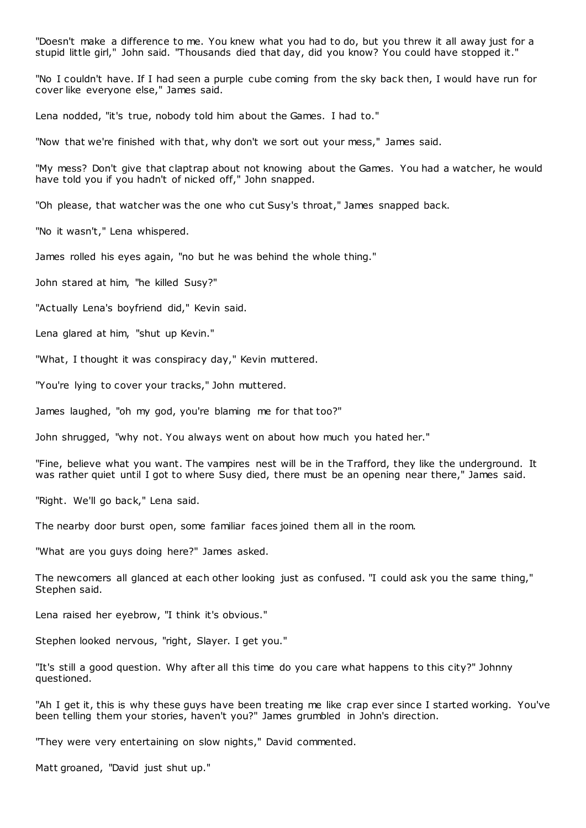"Doesn't make a difference to me. You knew what you had to do, but you threw it all away just for a stupid little girl," John said. "Thousands died that day, did you know? You could have stopped it."

"No I couldn't have. If I had seen a purple cube coming from the sky back then, I would have run for cover like everyone else," James said.

Lena nodded, "it's true, nobody told him about the Games. I had to."

"Now that we're finished with that, why don't we sort out your mess," James said.

"My mess? Don't give that claptrap about not knowing about the Games. You had a watcher, he would have told you if you hadn't of nicked off," John snapped.

"Oh please, that watcher was the one who cut Susy's throat," James snapped back.

"No it wasn't," Lena whispered.

James rolled his eyes again, "no but he was behind the whole thing."

John stared at him, "he killed Susy?"

"Actually Lena's boyfriend did," Kevin said.

Lena glared at him, "shut up Kevin."

"What, I thought it was conspiracy day," Kevin muttered.

"You're lying to cover your tracks," John muttered.

James laughed, "oh my god, you're blaming me for that too?"

John shrugged, "why not. You always went on about how much you hated her."

"Fine, believe what you want. The vampires nest will be in the Trafford, they like the underground. It was rather quiet until I got to where Susy died, there must be an opening near there," James said.

"Right. We'll go back," Lena said.

The nearby door burst open, some familiar faces joined them all in the room.

"What are you guys doing here?" James asked.

The newcomers all glanced at each other looking just as confused. "I could ask you the same thing," Stephen said.

Lena raised her eyebrow, "I think it's obvious."

Stephen looked nervous, "right, Slayer. I get you."

"It's still a good question. Why after all this time do you care what happens to this city?" Johnny questioned.

"Ah I get it, this is why these guys have been treating me like crap ever since I started working. You've been telling them your stories, haven't you?" James grumbled in John's direction.

"They were very entertaining on slow nights," David commented.

Matt groaned, "David just shut up."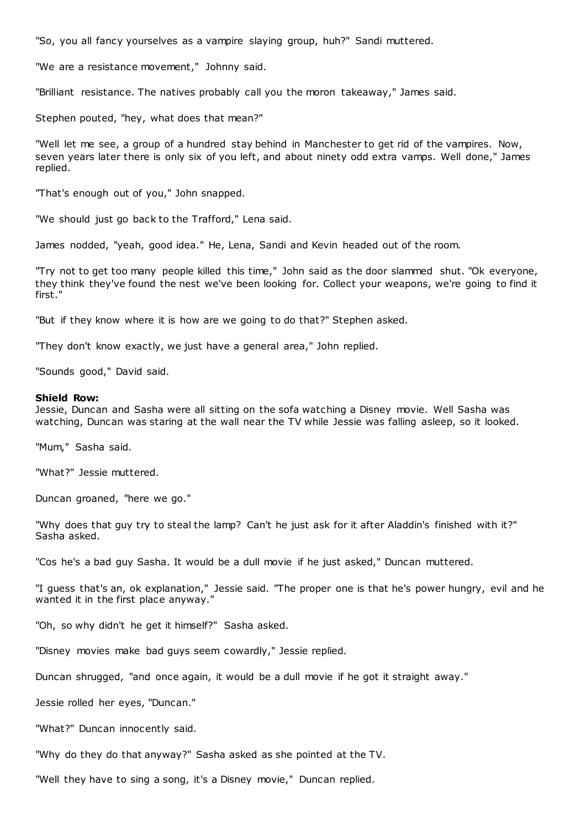"So, you all fancy yourselves as a vampire slaying group, huh?" Sandi muttered.

"We are a resistance movement," Johnny said.

"Brilliant resistance. The natives probably call you the moron takeaway," James said.

Stephen pouted, "hey, what does that mean?"

"Well let me see, a group of a hundred stay behind in Manchester to get rid of the vampires. Now, seven years later there is only six of you left, and about ninety odd extra vamps. Well done," James replied.

"That's enough out of you," John snapped.

"We should just go back to the Trafford," Lena said.

James nodded, "yeah, good idea." He, Lena, Sandi and Kevin headed out of the room.

"Try not to get too many people killed this time," John said as the door slammed shut. "Ok everyone, they think they've found the nest we've been looking for. Collect your weapons, we're going to find it first."

"But if they know where it is how are we going to do that?" Stephen asked.

"They don't know exactly, we just have a general area," John replied.

"Sounds good," David said.

### **Shield Row:**

Jessie, Duncan and Sasha were all sitting on the sofa watching a Disney movie. Well Sasha was watching, Duncan was staring at the wall near the TV while Jessie was falling asleep, so it looked.

"Mum," Sasha said.

"What?" Jessie muttered.

Duncan groaned, "here we go."

"Why does that guy try to steal the lamp? Can't he just ask for it after Aladdin's finished with it?" Sasha asked.

"Cos he's a bad guy Sasha. It would be a dull movie if he just asked," Duncan muttered.

"I guess that's an, ok explanation," Jessie said. "The proper one is that he's power hungry, evil and he wanted it in the first place anyway."

"Oh, so why didn't he get it himself?" Sasha asked.

"Disney movies make bad guys seem cowardly," Jessie replied.

Duncan shrugged, "and once again, it would be a dull movie if he got it straight away."

Jessie rolled her eyes, "Duncan."

"What?" Duncan innocently said.

"Why do they do that anyway?" Sasha asked as she pointed at the TV.

"Well they have to sing a song, it's a Disney movie," Duncan replied.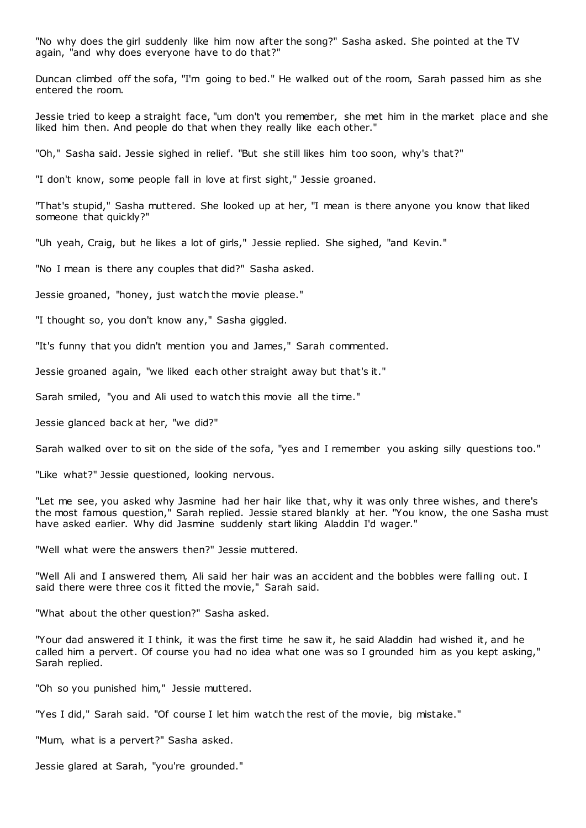"No why does the girl suddenly like him now after the song?" Sasha asked. She pointed at the TV again, "and why does everyone have to do that?"

Duncan climbed off the sofa, "I'm going to bed." He walked out of the room, Sarah passed him as she entered the room.

Jessie tried to keep a straight face, "um don't you remember, she met him in the market place and she liked him then. And people do that when they really like each other."

"Oh," Sasha said. Jessie sighed in relief. "But she still likes him too soon, why's that?"

"I don't know, some people fall in love at first sight," Jessie groaned.

"That's stupid," Sasha muttered. She looked up at her, "I mean is there anyone you know that liked someone that quickly?"

"Uh yeah, Craig, but he likes a lot of girls," Jessie replied. She sighed, "and Kevin."

"No I mean is there any couples that did?" Sasha asked.

Jessie groaned, "honey, just watch the movie please."

"I thought so, you don't know any," Sasha giggled.

"It's funny that you didn't mention you and James," Sarah commented.

Jessie groaned again, "we liked each other straight away but that's it."

Sarah smiled, "you and Ali used to watch this movie all the time."

Jessie glanced back at her, "we did?"

Sarah walked over to sit on the side of the sofa, "yes and I remember you asking silly questions too."

"Like what?" Jessie questioned, looking nervous.

"Let me see, you asked why Jasmine had her hair like that, why it was only three wishes, and there's the most famous question," Sarah replied. Jessie stared blankly at her. "You know, the one Sasha must have asked earlier. Why did Jasmine suddenly start liking Aladdin I'd wager."

"Well what were the answers then?" Jessie muttered.

"Well Ali and I answered them, Ali said her hair was an accident and the bobbles were falling out. I said there were three cos it fitted the movie," Sarah said.

"What about the other question?" Sasha asked.

"Your dad answered it I think, it was the first time he saw it, he said Aladdin had wished it, and he called him a pervert. Of course you had no idea what one was so I grounded him as you kept asking," Sarah replied.

"Oh so you punished him," Jessie muttered.

"Yes I did," Sarah said. "Of course I let him watch the rest of the movie, big mistake."

"Mum, what is a pervert?" Sasha asked.

Jessie glared at Sarah, "you're grounded."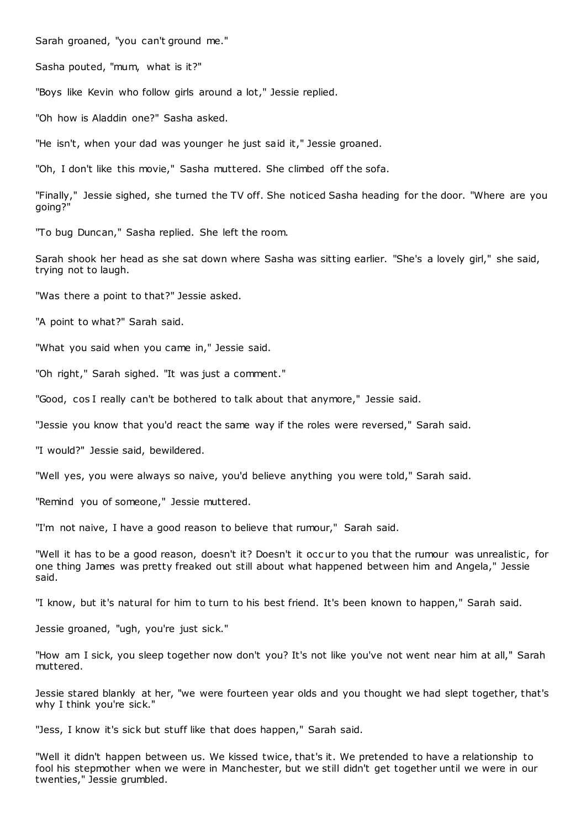Sarah groaned, "you can't ground me."

Sasha pouted, "mum, what is it?"

"Boys like Kevin who follow girls around a lot," Jessie replied.

"Oh how is Aladdin one?" Sasha asked.

"He isn't, when your dad was younger he just said it," Jessie groaned.

"Oh, I don't like this movie," Sasha muttered. She climbed off the sofa.

"Finally," Jessie sighed, she turned the TV off. She noticed Sasha heading for the door. "Where are you going?"

"To bug Duncan," Sasha replied. She left the room.

Sarah shook her head as she sat down where Sasha was sitting earlier. "She's a lovely girl," she said, trying not to laugh.

"Was there a point to that?" Jessie asked.

"A point to what?" Sarah said.

"What you said when you came in," Jessie said.

"Oh right," Sarah sighed. "It was just a comment."

"Good, cos I really can't be bothered to talk about that anymore," Jessie said.

"Jessie you know that you'd react the same way if the roles were reversed," Sarah said.

"I would?" Jessie said, bewildered.

"Well yes, you were always so naive, you'd believe anything you were told," Sarah said.

"Remind you of someone," Jessie muttered.

"I'm not naive, I have a good reason to believe that rumour," Sarah said.

"Well it has to be a good reason, doesn't it? Doesn't it occ ur to you that the rumour was unrealistic , for one thing James was pretty freaked out still about what happened between him and Angela," Jessie said.

"I know, but it's natural for him to turn to his best friend. It's been known to happen," Sarah said.

Jessie groaned, "ugh, you're just sick."

"How am I sick, you sleep together now don't you? It's not like you've not went near him at all," Sarah muttered.

Jessie stared blankly at her, "we were fourteen year olds and you thought we had slept together, that's why I think you're sick."

"Jess, I know it's sick but stuff like that does happen," Sarah said.

"Well it didn't happen between us. We kissed twice, that's it. We pretended to have a relationship to fool his stepmother when we were in Manchester, but we still didn't get together until we were in our twenties," Jessie grumbled.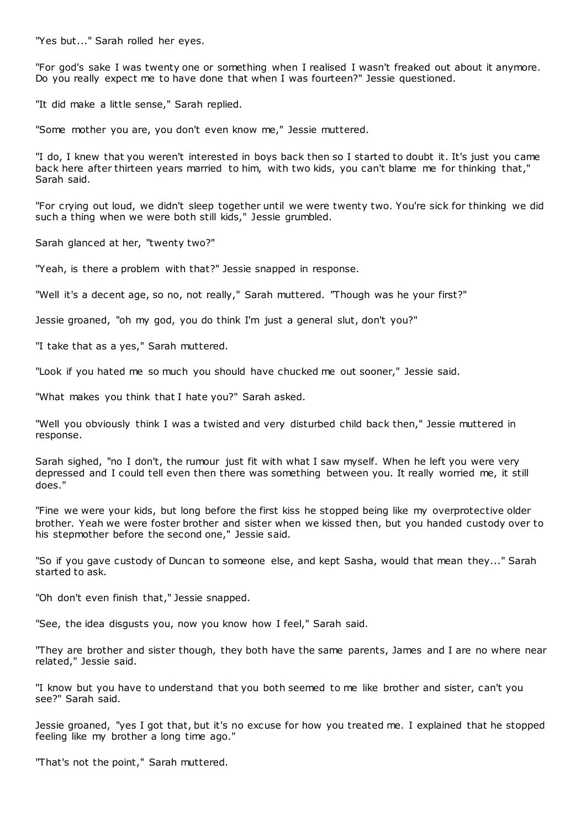"Yes but..." Sarah rolled her eyes.

"For god's sake I was twenty one or something when I realised I wasn't freaked out about it anymore. Do you really expect me to have done that when I was fourteen?" Jessie questioned.

"It did make a little sense," Sarah replied.

"Some mother you are, you don't even know me," Jessie muttered.

"I do, I knew that you weren't interested in boys back then so I started to doubt it. It's just you came back here after thirteen years married to him, with two kids, you can't blame me for thinking that," Sarah said.

"For crying out loud, we didn't sleep together until we were twenty two. You're sick for thinking we did such a thing when we were both still kids," Jessie grumbled.

Sarah glanced at her, "twenty two?"

"Yeah, is there a problem with that?" Jessie snapped in response.

"Well it's a decent age, so no, not really," Sarah muttered. "Though was he your first?"

Jessie groaned, "oh my god, you do think I'm just a general slut, don't you?"

"I take that as a yes," Sarah muttered.

"Look if you hated me so much you should have chucked me out sooner," Jessie said.

"What makes you think that I hate you?" Sarah asked.

"Well you obviously think I was a twisted and very disturbed child back then," Jessie muttered in response.

Sarah sighed, "no I don't, the rumour just fit with what I saw myself. When he left you were very depressed and I could tell even then there was something between you. It really worried me, it still does."

"Fine we were your kids, but long before the first kiss he stopped being like my overprotective older brother. Yeah we were foster brother and sister when we kissed then, but you handed custody over to his stepmother before the second one," Jessie said.

"So if you gave custody of Duncan to someone else, and kept Sasha, would that mean they..." Sarah started to ask.

"Oh don't even finish that," Jessie snapped.

"See, the idea disgusts you, now you know how I feel," Sarah said.

"They are brother and sister though, they both have the same parents, James and I are no where near related," Jessie said.

"I know but you have to understand that you both seemed to me like brother and sister, can't you see?" Sarah said.

Jessie groaned, "yes I got that, but it's no excuse for how you treated me. I explained that he stopped feeling like my brother a long time ago."

"That's not the point," Sarah muttered.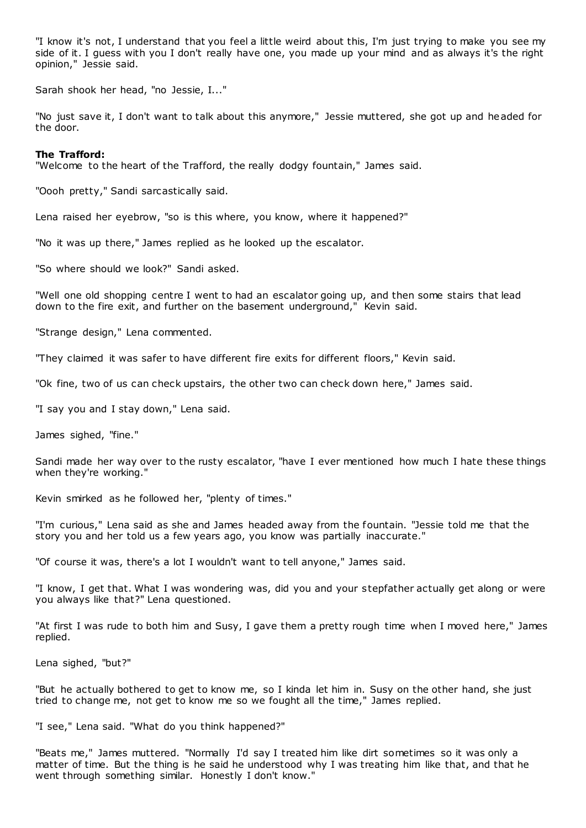"I know it's not, I understand that you feel a little weird about this, I'm just trying to make you see my side of it. I guess with you I don't really have one, you made up your mind and as always it's the right opinion," Jessie said.

Sarah shook her head, "no Jessie, I..."

"No just save it, I don't want to talk about this anymore," Jessie muttered, she got up and headed for the door.

# **The Trafford:**

"Welcome to the heart of the Trafford, the really dodgy fountain," James said.

"Oooh pretty," Sandi sarcastically said.

Lena raised her eyebrow, "so is this where, you know, where it happened?"

"No it was up there," James replied as he looked up the escalator.

"So where should we look?" Sandi asked.

"Well one old shopping centre I went to had an escalator going up, and then some stairs that lead down to the fire exit, and further on the basement underground," Kevin said.

"Strange design," Lena commented.

"They claimed it was safer to have different fire exits for different floors," Kevin said.

"Ok fine, two of us can check upstairs, the other two can check down here," James said.

"I say you and I stay down," Lena said.

James sighed, "fine."

Sandi made her way over to the rusty escalator, "have I ever mentioned how much I hate these things when they're working."

Kevin smirked as he followed her, "plenty of times."

"I'm curious," Lena said as she and James headed away from the fountain. "Jessie told me that the story you and her told us a few years ago, you know was partially inaccurate."

"Of course it was, there's a lot I wouldn't want to tell anyone," James said.

"I know, I get that. What I was wondering was, did you and your stepfather actually get along or were you always like that?" Lena questioned.

"At first I was rude to both him and Susy, I gave them a pretty rough time when I moved here," James replied.

Lena sighed, "but?"

"But he actually bothered to get to know me, so I kinda let him in. Susy on the other hand, she just tried to change me, not get to know me so we fought all the time," James replied.

"I see," Lena said. "What do you think happened?"

"Beats me," James muttered. "Normally I'd say I treated him like dirt sometimes so it was only a matter of time. But the thing is he said he understood why I was treating him like that, and that he went through something similar. Honestly I don't know."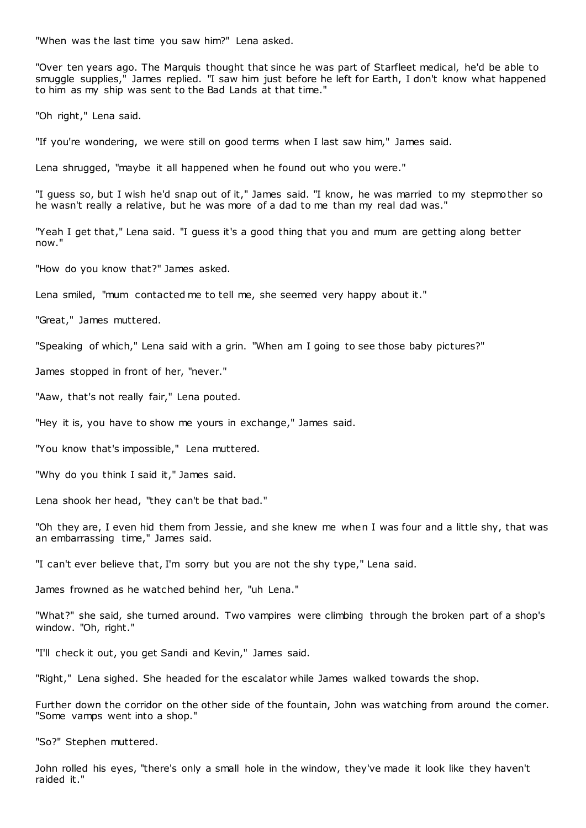"When was the last time you saw him?" Lena asked.

"Over ten years ago. The Marquis thought that since he was part of Starfleet medical, he'd be able to smuggle supplies," James replied. "I saw him just before he left for Earth, I don't know what happened to him as my ship was sent to the Bad Lands at that time."

"Oh right," Lena said.

"If you're wondering, we were still on good terms when I last saw him," James said.

Lena shrugged, "maybe it all happened when he found out who you were."

"I guess so, but I wish he'd snap out of it," James said. "I know, he was married to my stepmother so he wasn't really a relative, but he was more of a dad to me than my real dad was."

"Yeah I get that," Lena said. "I guess it's a good thing that you and mum are getting along better now."

"How do you know that?" James asked.

Lena smiled, "mum contacted me to tell me, she seemed very happy about it."

"Great," James muttered.

"Speaking of which," Lena said with a grin. "When am I going to see those baby pictures?"

James stopped in front of her, "never."

"Aaw, that's not really fair," Lena pouted.

"Hey it is, you have to show me yours in exchange," James said.

"You know that's impossible," Lena muttered.

"Why do you think I said it," James said.

Lena shook her head, "they can't be that bad."

"Oh they are, I even hid them from Jessie, and she knew me when I was four and a little shy, that was an embarrassing time," James said.

"I can't ever believe that, I'm sorry but you are not the shy type," Lena said.

James frowned as he watched behind her, "uh Lena."

"What?" she said, she turned around. Two vampires were climbing through the broken part of a shop's window. "Oh, right."

"I'll check it out, you get Sandi and Kevin," James said.

"Right," Lena sighed. She headed for the escalator while James walked towards the shop.

Further down the corridor on the other side of the fountain, John was watching from around the corner. "Some vamps went into a shop."

"So?" Stephen muttered.

John rolled his eyes, "there's only a small hole in the window, they've made it look like they haven't raided it."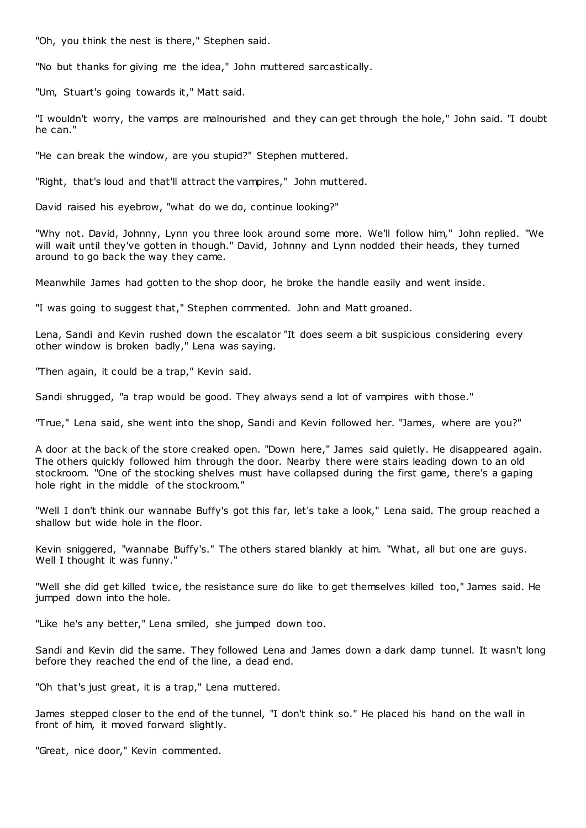"Oh, you think the nest is there," Stephen said.

"No but thanks for giving me the idea," John muttered sarcastically.

"Um, Stuart's going towards it," Matt said.

"I wouldn't worry, the vamps are malnourished and they can get through the hole," John said. "I doubt he can."

"He can break the window, are you stupid?" Stephen muttered.

"Right, that's loud and that'll attract the vampires," John muttered.

David raised his eyebrow, "what do we do, continue looking?"

"Why not. David, Johnny, Lynn you three look around some more. We'll follow him," John replied. "We will wait until they've gotten in though." David, Johnny and Lynn nodded their heads, they turned around to go back the way they came.

Meanwhile James had gotten to the shop door, he broke the handle easily and went inside.

"I was going to suggest that," Stephen commented. John and Matt groaned.

Lena, Sandi and Kevin rushed down the escalator "It does seem a bit suspicious considering every other window is broken badly," Lena was saying.

"Then again, it could be a trap," Kevin said.

Sandi shrugged, "a trap would be good. They always send a lot of vampires with those."

"True," Lena said, she went into the shop, Sandi and Kevin followed her. "James, where are you?"

A door at the back of the store creaked open. "Down here," James said quietly. He disappeared again. The others quickly followed him through the door. Nearby there were stairs leading down to an old stockroom. "One of the stocking shelves must have collapsed during the first game, there's a gaping hole right in the middle of the stockroom."

"Well I don't think our wannabe Buffy's got this far, let's take a look," Lena said. The group reached a shallow but wide hole in the floor.

Kevin sniggered, "wannabe Buffy's." The others stared blankly at him. "What, all but one are guys. Well I thought it was funny."

"Well she did get killed twice, the resistance sure do like to get themselves killed too," James said. He jumped down into the hole.

"Like he's any better," Lena smiled, she jumped down too.

Sandi and Kevin did the same. They followed Lena and James down a dark damp tunnel. It wasn't long before they reached the end of the line, a dead end.

"Oh that's just great, it is a trap," Lena muttered.

James stepped closer to the end of the tunnel, "I don't think so." He placed his hand on the wall in front of him, it moved forward slightly.

"Great, nice door," Kevin commented.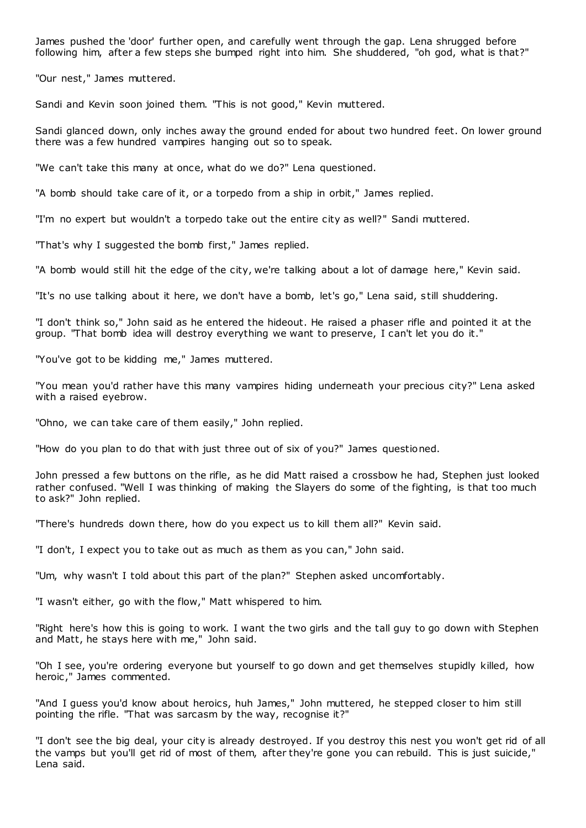James pushed the 'door' further open, and carefully went through the gap. Lena shrugged before following him, after a few steps she bumped right into him. She shuddered, "oh god, what is that?"

"Our nest," James muttered.

Sandi and Kevin soon joined them. "This is not good," Kevin muttered.

Sandi glanced down, only inches away the ground ended for about two hundred feet. On lower ground there was a few hundred vampires hanging out so to speak.

"We can't take this many at once, what do we do?" Lena questioned.

"A bomb should take care of it, or a torpedo from a ship in orbit," James replied.

"I'm no expert but wouldn't a torpedo take out the entire city as well?" Sandi muttered.

"That's why I suggested the bomb first," James replied.

"A bomb would still hit the edge of the city, we're talking about a lot of damage here," Kevin said.

"It's no use talking about it here, we don't have a bomb, let's go," Lena said, still shuddering.

"I don't think so," John said as he entered the hideout. He raised a phaser rifle and pointed it at the group. "That bomb idea will destroy everything we want to preserve, I can't let you do it."

"You've got to be kidding me," James muttered.

"You mean you'd rather have this many vampires hiding underneath your precious city?" Lena asked with a raised eyebrow.

"Ohno, we can take care of them easily," John replied.

"How do you plan to do that with just three out of six of you?" James questioned.

John pressed a few buttons on the rifle, as he did Matt raised a crossbow he had, Stephen just looked rather confused. "Well I was thinking of making the Slayers do some of the fighting, is that too much to ask?" John replied.

"There's hundreds down there, how do you expect us to kill them all?" Kevin said.

"I don't, I expect you to take out as much as them as you can," John said.

"Um, why wasn't I told about this part of the plan?" Stephen asked uncomfortably.

"I wasn't either, go with the flow," Matt whispered to him.

"Right here's how this is going to work. I want the two girls and the tall guy to go down with Stephen and Matt, he stays here with me," John said.

"Oh I see, you're ordering everyone but yourself to go down and get themselves stupidly killed, how heroic ," James commented.

"And I guess you'd know about heroics, huh James," John muttered, he stepped closer to him still pointing the rifle. "That was sarcasm by the way, recognise it?"

"I don't see the big deal, your city is already destroyed. If you destroy this nest you won't get rid of all the vamps but you'll get rid of most of them, after they're gone you can rebuild. This is just suicide," Lena said.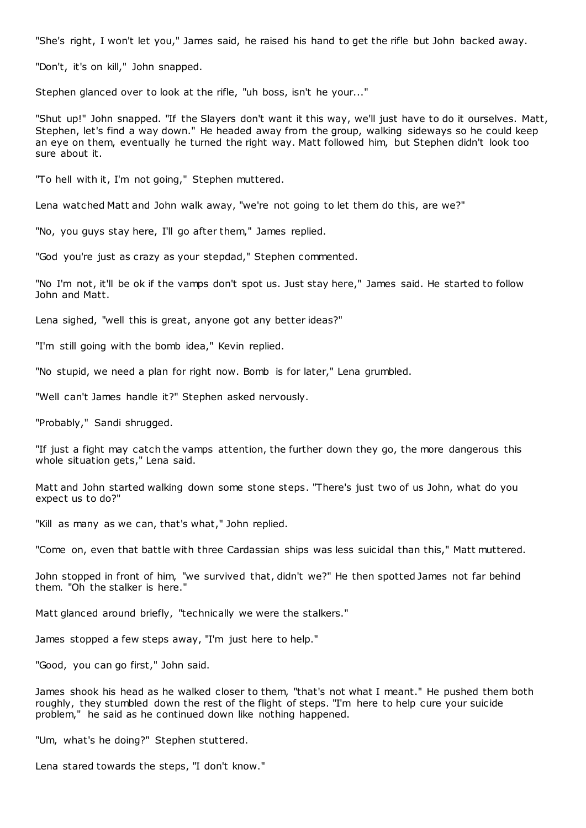"She's right, I won't let you," James said, he raised his hand to get the rifle but John backed away.

"Don't, it's on kill," John snapped.

Stephen glanced over to look at the rifle, "uh boss, isn't he your..."

"Shut up!" John snapped. "If the Slayers don't want it this way, we'll just have to do it ourselves. Matt, Stephen, let's find a way down." He headed away from the group, walking sideways so he could keep an eye on them, eventually he turned the right way. Matt followed him, but Stephen didn't look too sure about it.

"To hell with it, I'm not going," Stephen muttered.

Lena watched Matt and John walk away, "we're not going to let them do this, are we?"

"No, you guys stay here, I'll go after them," James replied.

"God you're just as crazy as your stepdad," Stephen commented.

"No I'm not, it'll be ok if the vamps don't spot us. Just stay here," James said. He started to follow John and Matt.

Lena sighed, "well this is great, anyone got any better ideas?"

"I'm still going with the bomb idea," Kevin replied.

"No stupid, we need a plan for right now. Bomb is for later," Lena grumbled.

"Well can't James handle it?" Stephen asked nervously.

"Probably," Sandi shrugged.

"If just a fight may catch the vamps attention, the further down they go, the more dangerous this whole situation gets," Lena said.

Matt and John started walking down some stone steps. "There's just two of us John, what do you expect us to do?"

"Kill as many as we can, that's what," John replied.

"Come on, even that battle with three Cardassian ships was less suicidal than this," Matt muttered.

John stopped in front of him, "we survived that, didn't we?" He then spotted James not far behind them. "Oh the stalker is here."

Matt glanced around briefly, "technically we were the stalkers."

James stopped a few steps away, "I'm just here to help."

"Good, you can go first," John said.

James shook his head as he walked closer to them, "that's not what I meant." He pushed them both roughly, they stumbled down the rest of the flight of steps. "I'm here to help cure your suicide problem," he said as he continued down like nothing happened.

"Um, what's he doing?" Stephen stuttered.

Lena stared towards the steps, "I don't know."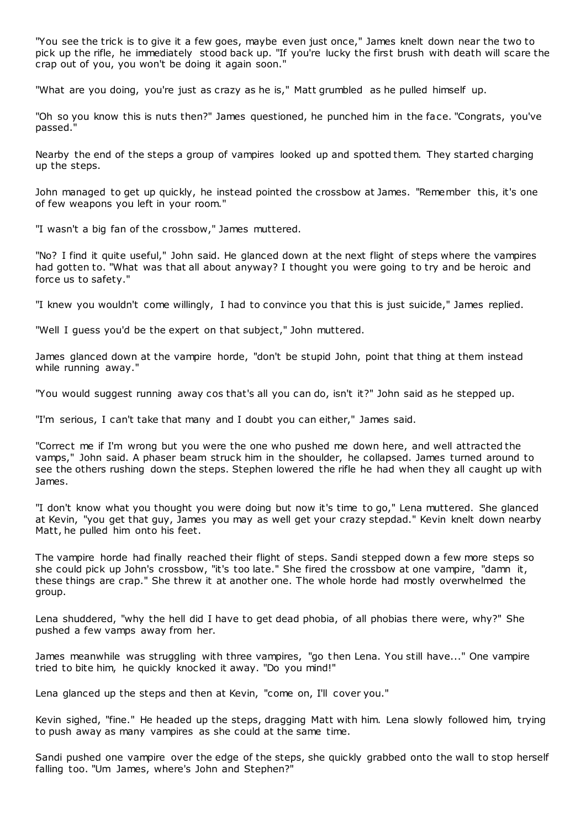"You see the trick is to give it a few goes, maybe even just once," James knelt down near the two to pick up the rifle, he immediately stood back up. "If you're lucky the first brush with death will scare the crap out of you, you won't be doing it again soon."

"What are you doing, you're just as crazy as he is," Matt grumbled as he pulled himself up.

"Oh so you know this is nuts then?" James questioned, he punched him in the face. "Congrats, you've passed."

Nearby the end of the steps a group of vampires looked up and spotted them. They started charging up the steps.

John managed to get up quickly, he instead pointed the crossbow at James. "Remember this, it's one of few weapons you left in your room."

"I wasn't a big fan of the crossbow," James muttered.

"No? I find it quite useful," John said. He glanced down at the next flight of steps where the vampires had gotten to. "What was that all about anyway? I thought you were going to try and be heroic and force us to safety."

"I knew you wouldn't come willingly, I had to convince you that this is just suicide," James replied.

"Well I guess you'd be the expert on that subject," John muttered.

James glanced down at the vampire horde, "don't be stupid John, point that thing at them instead while running away."

"You would suggest running away cos that's all you can do, isn't it?" John said as he stepped up.

"I'm serious, I can't take that many and I doubt you can either," James said.

"Correct me if I'm wrong but you were the one who pushed me down here, and well attracted the vamps," John said. A phaser beam struck him in the shoulder, he collapsed. James turned around to see the others rushing down the steps. Stephen lowered the rifle he had when they all caught up with James.

"I don't know what you thought you were doing but now it's time to go," Lena muttered. She glanced at Kevin, "you get that guy, James you may as well get your crazy stepdad." Kevin knelt down nearby Matt, he pulled him onto his feet.

The vampire horde had finally reached their flight of steps. Sandi stepped down a few more steps so she could pick up John's crossbow, "it's too late." She fired the crossbow at one vampire, "damn it, these things are crap." She threw it at another one. The whole horde had mostly overwhelmed the group.

Lena shuddered, "why the hell did I have to get dead phobia, of all phobias there were, why?" She pushed a few vamps away from her.

James meanwhile was struggling with three vampires, "go then Lena. You still have..." One vampire tried to bite him, he quickly knocked it away. "Do you mind!"

Lena glanced up the steps and then at Kevin, "come on, I'll cover you."

Kevin sighed, "fine." He headed up the steps, dragging Matt with him. Lena slowly followed him, trying to push away as many vampires as she could at the same time.

Sandi pushed one vampire over the edge of the steps, she quickly grabbed onto the wall to stop herself falling too. "Um James, where's John and Stephen?"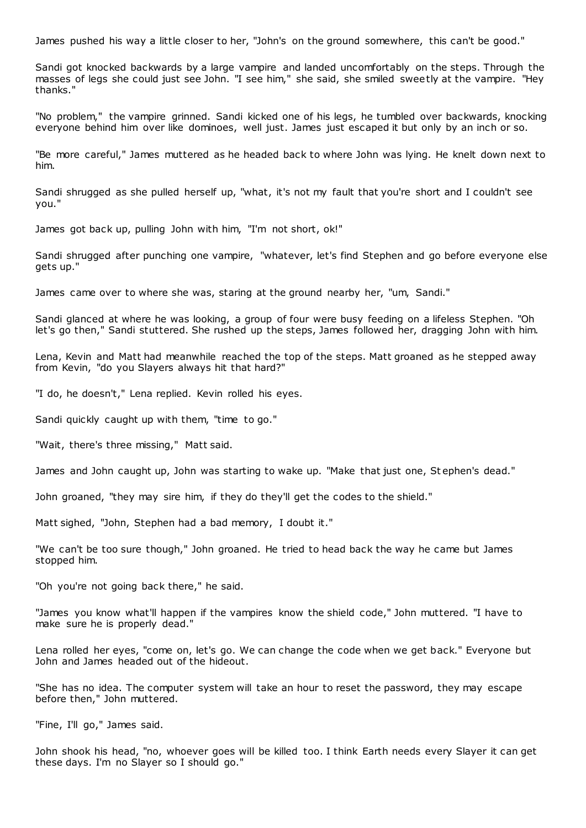James pushed his way a little closer to her, "John's on the ground somewhere, this can't be good."

Sandi got knocked backwards by a large vampire and landed uncomfortably on the steps. Through the masses of legs she could just see John. "I see him," she said, she smiled sweetly at the vampire. "Hey thanks."

"No problem," the vampire grinned. Sandi kicked one of his legs, he tumbled over backwards, knocking everyone behind him over like dominoes, well just. James just escaped it but only by an inch or so.

"Be more careful," James muttered as he headed back to where John was lying. He knelt down next to him.

Sandi shrugged as she pulled herself up, "what, it's not my fault that you're short and I couldn't see you."

James got back up, pulling John with him, "I'm not short, ok!"

Sandi shrugged after punching one vampire, "whatever, let's find Stephen and go before everyone else gets up."

James came over to where she was, staring at the ground nearby her, "um, Sandi."

Sandi glanced at where he was looking, a group of four were busy feeding on a lifeless Stephen. "Oh let's go then," Sandi stuttered. She rushed up the steps, James followed her, dragging John with him.

Lena, Kevin and Matt had meanwhile reached the top of the steps. Matt groaned as he stepped away from Kevin, "do you Slayers always hit that hard?"

"I do, he doesn't," Lena replied. Kevin rolled his eyes.

Sandi quickly caught up with them, "time to go."

"Wait, there's three missing," Matt said.

James and John caught up, John was starting to wake up. "Make that just one, St ephen's dead."

John groaned, "they may sire him, if they do they'll get the codes to the shield."

Matt sighed, "John, Stephen had a bad memory, I doubt it."

"We can't be too sure though," John groaned. He tried to head back the way he came but James stopped him.

"Oh you're not going back there," he said.

"James you know what'll happen if the vampires know the shield code," John muttered. "I have to make sure he is properly dead."

Lena rolled her eyes, "come on, let's go. We can change the code when we get back." Everyone but John and James headed out of the hideout.

"She has no idea. The computer system will take an hour to reset the password, they may escape before then," John muttered.

"Fine, I'll go," James said.

John shook his head, "no, whoever goes will be killed too. I think Earth needs every Slayer it can get these days. I'm no Slayer so I should go."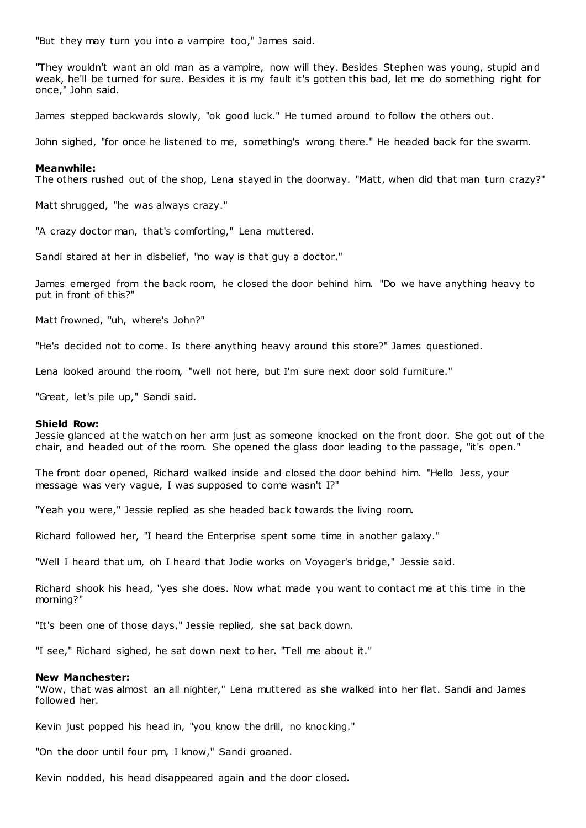"But they may turn you into a vampire too," James said.

"They wouldn't want an old man as a vampire, now will they. Besides Stephen was young, stupid and weak, he'll be turned for sure. Besides it is my fault it's gotten this bad, let me do something right for once," John said.

James stepped backwards slowly, "ok good luck." He turned around to follow the others out.

John sighed, "for once he listened to me, something's wrong there." He headed back for the swarm.

## **Meanwhile:**

The others rushed out of the shop, Lena stayed in the doorway. "Matt, when did that man turn crazy?"

Matt shrugged, "he was always crazy."

"A crazy doctor man, that's comforting," Lena muttered.

Sandi stared at her in disbelief, "no way is that guy a doctor."

James emerged from the back room, he closed the door behind him. "Do we have anything heavy to put in front of this?"

Matt frowned, "uh, where's John?"

"He's decided not to come. Is there anything heavy around this store?" James questioned.

Lena looked around the room, "well not here, but I'm sure next door sold furniture."

"Great, let's pile up," Sandi said.

#### **Shield Row:**

Jessie glanced at the watch on her arm just as someone knocked on the front door. She got out of the chair, and headed out of the room. She opened the glass door leading to the passage, "it's open."

The front door opened, Richard walked inside and closed the door behind him. "Hello Jess, your message was very vague, I was supposed to come wasn't I?"

"Yeah you were," Jessie replied as she headed back towards the living room.

Richard followed her, "I heard the Enterprise spent some time in another galaxy."

"Well I heard that um, oh I heard that Jodie works on Voyager's bridge," Jessie said.

Richard shook his head, "yes she does. Now what made you want to contact me at this time in the morning?"

"It's been one of those days," Jessie replied, she sat back down.

"I see," Richard sighed, he sat down next to her. "Tell me about it."

#### **New Manchester:**

"Wow, that was almost an all nighter," Lena muttered as she walked into her flat. Sandi and James followed her.

Kevin just popped his head in, "you know the drill, no knocking."

"On the door until four pm, I know," Sandi groaned.

Kevin nodded, his head disappeared again and the door closed.